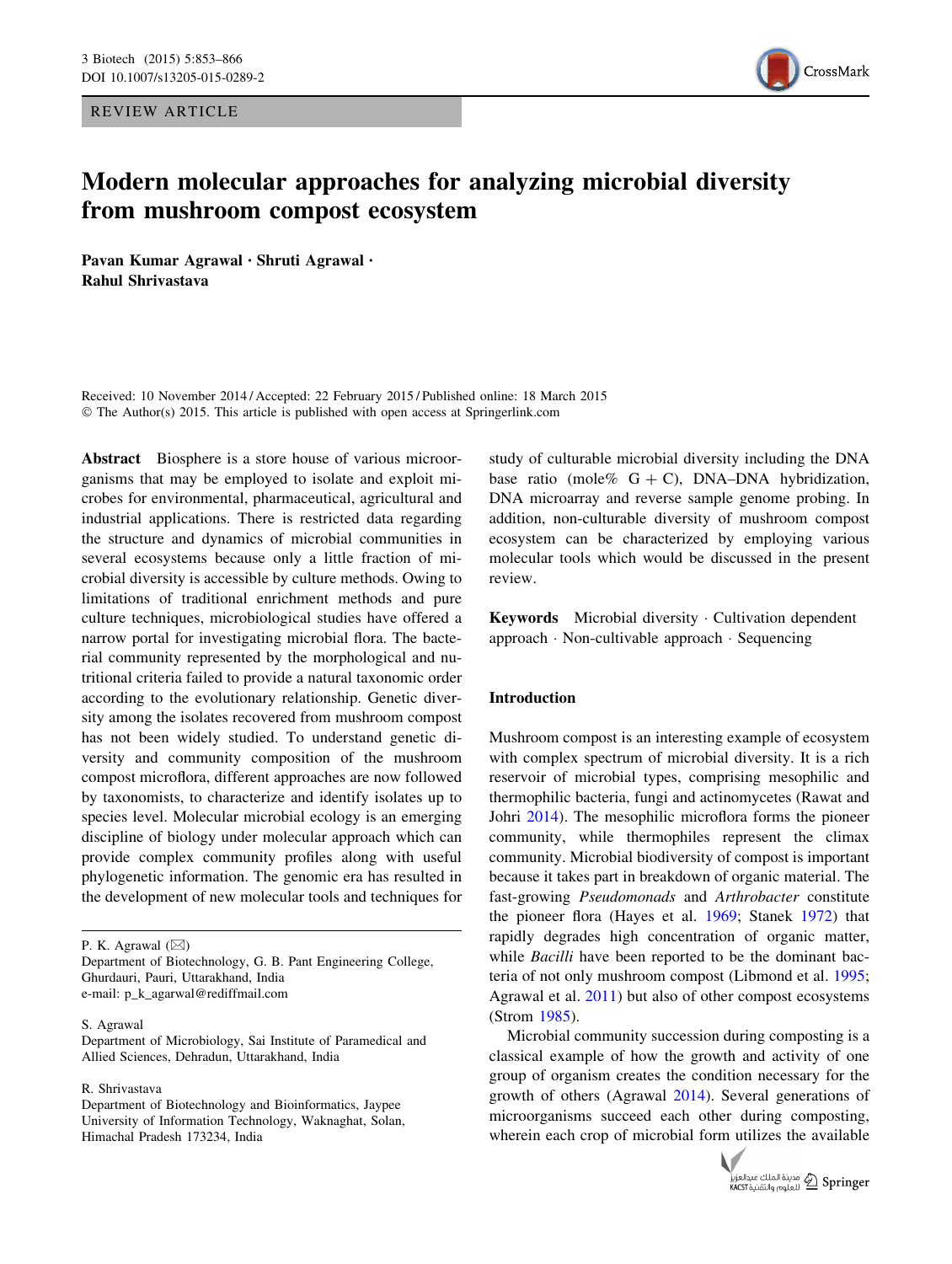REVIEW ARTICLE



# Modern molecular approaches for analyzing microbial diversity from mushroom compost ecosystem

Pavan Kumar Agrawal • Shruti Agrawal • Rahul Shrivastava

Received: 10 November 2014 / Accepted: 22 February 2015 / Published online: 18 March 2015 © The Author(s) 2015. This article is published with open access at Springerlink.com

Abstract Biosphere is a store house of various microorganisms that may be employed to isolate and exploit microbes for environmental, pharmaceutical, agricultural and industrial applications. There is restricted data regarding the structure and dynamics of microbial communities in several ecosystems because only a little fraction of microbial diversity is accessible by culture methods. Owing to limitations of traditional enrichment methods and pure culture techniques, microbiological studies have offered a narrow portal for investigating microbial flora. The bacterial community represented by the morphological and nutritional criteria failed to provide a natural taxonomic order according to the evolutionary relationship. Genetic diversity among the isolates recovered from mushroom compost has not been widely studied. To understand genetic diversity and community composition of the mushroom compost microflora, different approaches are now followed by taxonomists, to characterize and identify isolates up to species level. Molecular microbial ecology is an emerging discipline of biology under molecular approach which can provide complex community profiles along with useful phylogenetic information. The genomic era has resulted in the development of new molecular tools and techniques for

P. K. Agrawal  $(\boxtimes)$ 

Department of Biotechnology, G. B. Pant Engineering College, Ghurdauri, Pauri, Uttarakhand, India e-mail: p\_k\_agarwal@rediffmail.com

S. Agrawal

study of culturable microbial diversity including the DNA base ratio (mole%  $G + C$ ), DNA–DNA hybridization, DNA microarray and reverse sample genome probing. In addition, non-culturable diversity of mushroom compost ecosystem can be characterized by employing various molecular tools which would be discussed in the present review.

Keywords Microbial diversity - Cultivation dependent approach - Non-cultivable approach - Sequencing

### Introduction

Mushroom compost is an interesting example of ecosystem with complex spectrum of microbial diversity. It is a rich reservoir of microbial types, comprising mesophilic and thermophilic bacteria, fungi and actinomycetes (Rawat and Johri [2014\)](#page-13-0). The mesophilic microflora forms the pioneer community, while thermophiles represent the climax community. Microbial biodiversity of compost is important because it takes part in breakdown of organic material. The fast-growing Pseudomonads and Arthrobacter constitute the pioneer flora (Hayes et al. [1969](#page-12-0); Stanek [1972](#page-13-0)) that rapidly degrades high concentration of organic matter, while *Bacilli* have been reported to be the dominant bacteria of not only mushroom compost (Libmond et al. [1995](#page-12-0); Agrawal et al. [2011](#page-11-0)) but also of other compost ecosystems (Strom [1985](#page-13-0)).

Microbial community succession during composting is a classical example of how the growth and activity of one group of organism creates the condition necessary for the growth of others (Agrawal [2014](#page-11-0)). Several generations of microorganisms succeed each other during composting, wherein each crop of microbial form utilizes the available



Department of Microbiology, Sai Institute of Paramedical and Allied Sciences, Dehradun, Uttarakhand, India

R. Shrivastava

Department of Biotechnology and Bioinformatics, Jaypee University of Information Technology, Waknaghat, Solan, Himachal Pradesh 173234, India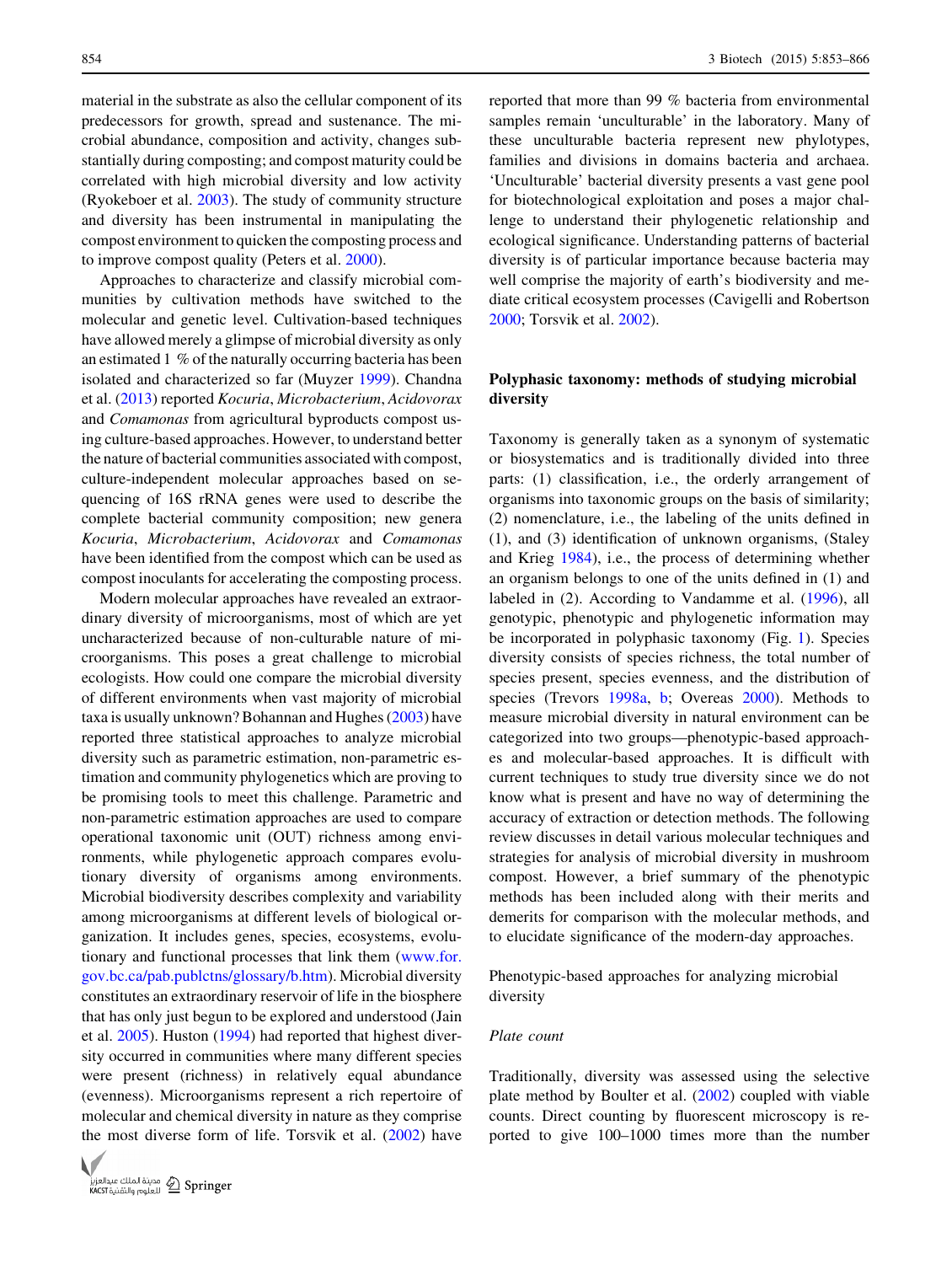material in the substrate as also the cellular component of its predecessors for growth, spread and sustenance. The microbial abundance, composition and activity, changes substantially during composting; and compost maturity could be correlated with high microbial diversity and low activity (Ryokeboer et al. [2003](#page-13-0)). The study of community structure and diversity has been instrumental in manipulating the compost environment to quicken the composting process and to improve compost quality (Peters et al. [2000](#page-12-0)).

Approaches to characterize and classify microbial communities by cultivation methods have switched to the molecular and genetic level. Cultivation-based techniques have allowed merely a glimpse of microbial diversity as only an estimated 1 % of the naturally occurring bacteria has been isolated and characterized so far (Muyzer [1999](#page-12-0)). Chandna et al. [\(2013](#page-11-0)) reported Kocuria, Microbacterium, Acidovorax and Comamonas from agricultural byproducts compost using culture-based approaches. However, to understand better the nature of bacterial communities associated with compost, culture-independent molecular approaches based on sequencing of 16S rRNA genes were used to describe the complete bacterial community composition; new genera Kocuria, Microbacterium, Acidovorax and Comamonas have been identified from the compost which can be used as compost inoculants for accelerating the composting process.

Modern molecular approaches have revealed an extraordinary diversity of microorganisms, most of which are yet uncharacterized because of non-culturable nature of microorganisms. This poses a great challenge to microbial ecologists. How could one compare the microbial diversity of different environments when vast majority of microbial taxa is usually unknown? Bohannan and Hughes [\(2003](#page-11-0)) have reported three statistical approaches to analyze microbial diversity such as parametric estimation, non-parametric estimation and community phylogenetics which are proving to be promising tools to meet this challenge. Parametric and non-parametric estimation approaches are used to compare operational taxonomic unit (OUT) richness among environments, while phylogenetic approach compares evolutionary diversity of organisms among environments. Microbial biodiversity describes complexity and variability among microorganisms at different levels of biological organization. It includes genes, species, ecosystems, evolutionary and functional processes that link them ([www.for.](http://www.for.gov.bc.ca/pab.publctns/glossary/b.htm) [gov.bc.ca/pab.publctns/glossary/b.htm](http://www.for.gov.bc.ca/pab.publctns/glossary/b.htm)). Microbial diversity constitutes an extraordinary reservoir of life in the biosphere that has only just begun to be explored and understood (Jain et al. [2005](#page-12-0)). Huston ([1994\)](#page-12-0) had reported that highest diversity occurred in communities where many different species were present (richness) in relatively equal abundance (evenness). Microorganisms represent a rich repertoire of molecular and chemical diversity in nature as they comprise the most diverse form of life. Torsvik et al. ([2002\)](#page-13-0) have



reported that more than 99 % bacteria from environmental samples remain 'unculturable' in the laboratory. Many of these unculturable bacteria represent new phylotypes, families and divisions in domains bacteria and archaea. 'Unculturable' bacterial diversity presents a vast gene pool for biotechnological exploitation and poses a major challenge to understand their phylogenetic relationship and ecological significance. Understanding patterns of bacterial diversity is of particular importance because bacteria may well comprise the majority of earth's biodiversity and mediate critical ecosystem processes (Cavigelli and Robertson [2000](#page-11-0); Torsvik et al. [2002\)](#page-13-0).

# Polyphasic taxonomy: methods of studying microbial diversity

Taxonomy is generally taken as a synonym of systematic or biosystematics and is traditionally divided into three parts: (1) classification, i.e., the orderly arrangement of organisms into taxonomic groups on the basis of similarity; (2) nomenclature, i.e., the labeling of the units defined in (1), and (3) identification of unknown organisms, (Staley and Krieg [1984\)](#page-13-0), i.e., the process of determining whether an organism belongs to one of the units defined in (1) and labeled in (2). According to Vandamme et al. ([1996](#page-13-0)), all genotypic, phenotypic and phylogenetic information may be incorporated in polyphasic taxonomy (Fig. [1\)](#page-2-0). Species diversity consists of species richness, the total number of species present, species evenness, and the distribution of species (Trevors [1998a,](#page-13-0) [b;](#page-13-0) Overeas [2000\)](#page-12-0). Methods to measure microbial diversity in natural environment can be categorized into two groups—phenotypic-based approaches and molecular-based approaches. It is difficult with current techniques to study true diversity since we do not know what is present and have no way of determining the accuracy of extraction or detection methods. The following review discusses in detail various molecular techniques and strategies for analysis of microbial diversity in mushroom compost. However, a brief summary of the phenotypic methods has been included along with their merits and demerits for comparison with the molecular methods, and to elucidate significance of the modern-day approaches.

Phenotypic-based approaches for analyzing microbial diversity

## Plate count

Traditionally, diversity was assessed using the selective plate method by Boulter et al. ([2002\)](#page-11-0) coupled with viable counts. Direct counting by fluorescent microscopy is reported to give 100–1000 times more than the number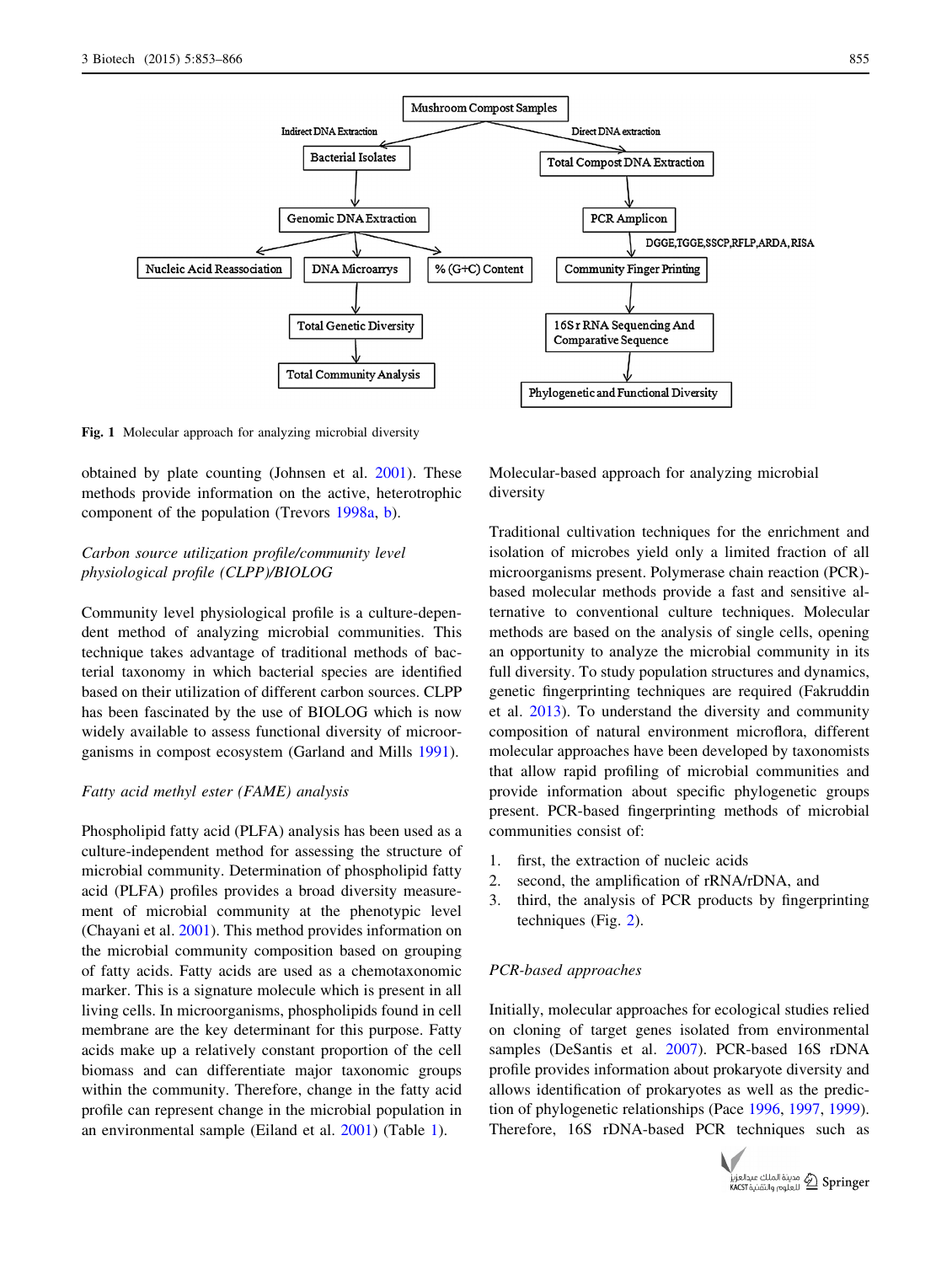

<span id="page-2-0"></span>

Fig. 1 Molecular approach for analyzing microbial diversity

obtained by plate counting (Johnsen et al. [2001\)](#page-12-0). These methods provide information on the active, heterotrophic component of the population (Trevors [1998a](#page-13-0), [b](#page-13-0)).

# Carbon source utilization profile/community level physiological profile (CLPP)/BIOLOG

Community level physiological profile is a culture-dependent method of analyzing microbial communities. This technique takes advantage of traditional methods of bacterial taxonomy in which bacterial species are identified based on their utilization of different carbon sources. CLPP has been fascinated by the use of BIOLOG which is now widely available to assess functional diversity of microorganisms in compost ecosystem (Garland and Mills [1991](#page-11-0)).

# Fatty acid methyl ester (FAME) analysis

Phospholipid fatty acid (PLFA) analysis has been used as a culture-independent method for assessing the structure of microbial community. Determination of phospholipid fatty acid (PLFA) profiles provides a broad diversity measurement of microbial community at the phenotypic level (Chayani et al. [2001\)](#page-11-0). This method provides information on the microbial community composition based on grouping of fatty acids. Fatty acids are used as a chemotaxonomic marker. This is a signature molecule which is present in all living cells. In microorganisms, phospholipids found in cell membrane are the key determinant for this purpose. Fatty acids make up a relatively constant proportion of the cell biomass and can differentiate major taxonomic groups within the community. Therefore, change in the fatty acid profile can represent change in the microbial population in an environmental sample (Eiland et al. [2001](#page-11-0)) (Table [1](#page-3-0)).

Molecular-based approach for analyzing microbial diversity

Traditional cultivation techniques for the enrichment and isolation of microbes yield only a limited fraction of all microorganisms present. Polymerase chain reaction (PCR) based molecular methods provide a fast and sensitive alternative to conventional culture techniques. Molecular methods are based on the analysis of single cells, opening an opportunity to analyze the microbial community in its full diversity. To study population structures and dynamics, genetic fingerprinting techniques are required (Fakruddin et al. [2013](#page-11-0)). To understand the diversity and community composition of natural environment microflora, different molecular approaches have been developed by taxonomists that allow rapid profiling of microbial communities and provide information about specific phylogenetic groups present. PCR-based fingerprinting methods of microbial communities consist of:

- 1. first, the extraction of nucleic acids
- 2. second, the amplification of rRNA/rDNA, and
- 3. third, the analysis of PCR products by fingerprinting techniques (Fig. [2](#page-4-0)).

# PCR-based approaches

Initially, molecular approaches for ecological studies relied on cloning of target genes isolated from environmental samples (DeSantis et al. [2007\)](#page-11-0). PCR-based 16S rDNA profile provides information about prokaryote diversity and allows identification of prokaryotes as well as the prediction of phylogenetic relationships (Pace [1996](#page-12-0), [1997](#page-12-0), [1999](#page-12-0)). Therefore, 16S rDNA-based PCR techniques such as

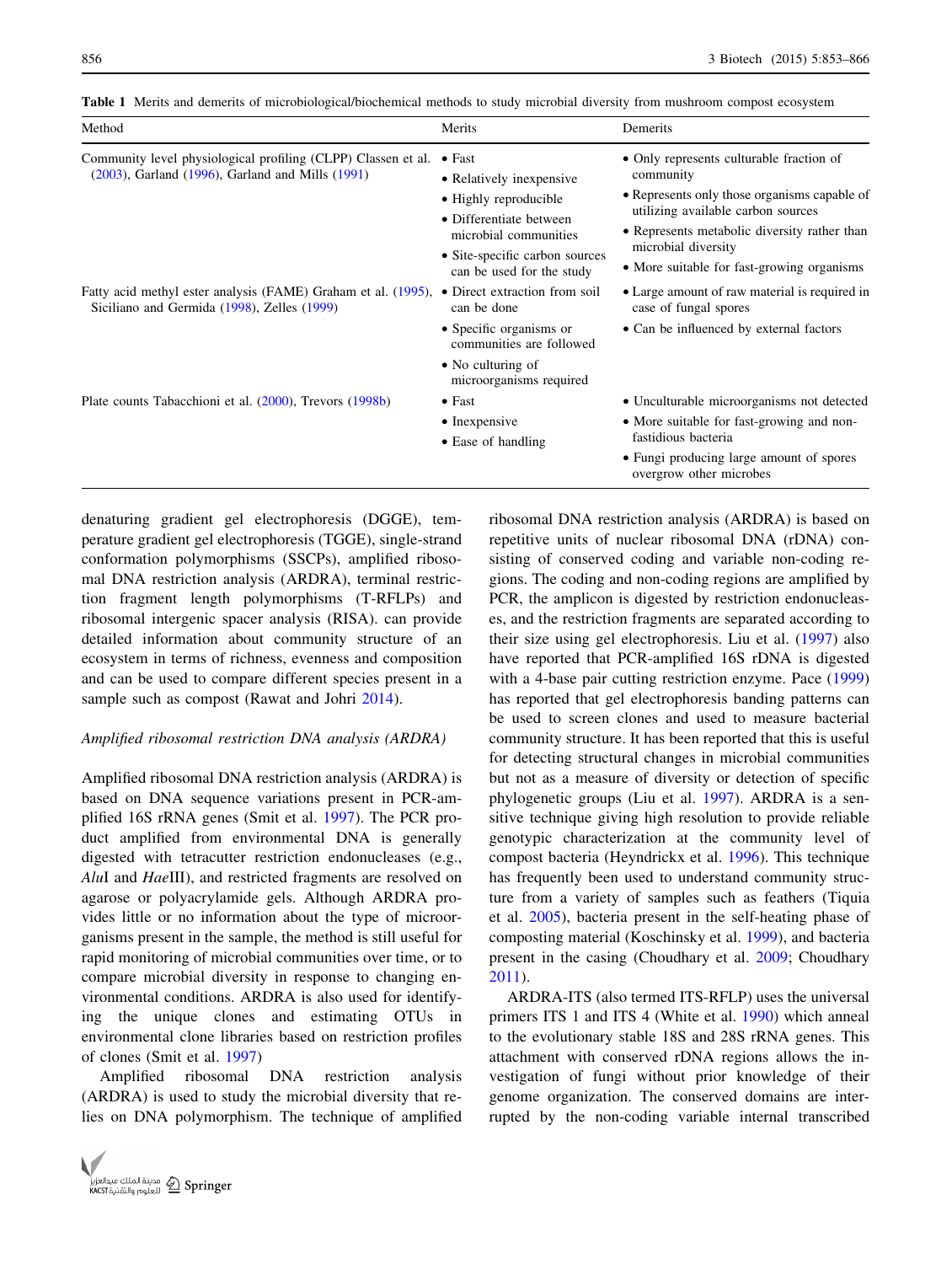| Method                                                                                                                    | Merits                                                                                                                                                                                 | Demerits                                                                                                                                                                                                                                                         |
|---------------------------------------------------------------------------------------------------------------------------|----------------------------------------------------------------------------------------------------------------------------------------------------------------------------------------|------------------------------------------------------------------------------------------------------------------------------------------------------------------------------------------------------------------------------------------------------------------|
| Community level physiological profiling (CLPP) Classen et al.<br>$(2003)$ , Garland $(1996)$ , Garland and Mills $(1991)$ | $\bullet$ Fast<br>• Relatively inexpensive<br>• Highly reproducible<br>• Differentiate between<br>microbial communities<br>• Site-specific carbon sources<br>can be used for the study | • Only represents culturable fraction of<br>community<br>• Represents only those organisms capable of<br>utilizing available carbon sources<br>• Represents metabolic diversity rather than<br>microbial diversity<br>• More suitable for fast-growing organisms |
| Fatty acid methyl ester analysis (FAME) Graham et al. (1995),<br>Siciliano and Germida (1998), Zelles (1999)              | • Direct extraction from soil<br>can be done<br>• Specific organisms or<br>communities are followed                                                                                    | • Large amount of raw material is required in<br>case of fungal spores<br>• Can be influenced by external factors                                                                                                                                                |
| Plate counts Tabacchioni et al. (2000), Trevors (1998b)                                                                   | • No culturing of<br>microorganisms required<br>$\bullet$ Fast<br>• Inexpensive<br>• Ease of handling                                                                                  | • Unculturable microorganisms not detected<br>• More suitable for fast-growing and non-<br>fastidious bacteria<br>• Fungi producing large amount of spores<br>overgrow other microbes                                                                            |

<span id="page-3-0"></span>Table 1 Merits and demerits of microbiological/biochemical methods to study microbial diversity from mushroom compost ecosystem

denaturing gradient gel electrophoresis (DGGE), temperature gradient gel electrophoresis (TGGE), single-strand conformation polymorphisms (SSCPs), amplified ribosomal DNA restriction analysis (ARDRA), terminal restriction fragment length polymorphisms (T-RFLPs) and ribosomal intergenic spacer analysis (RISA). can provide detailed information about community structure of an ecosystem in terms of richness, evenness and composition and can be used to compare different species present in a sample such as compost (Rawat and Johri [2014](#page-13-0)).

### Amplified ribosomal restriction DNA analysis (ARDRA)

Amplified ribosomal DNA restriction analysis (ARDRA) is based on DNA sequence variations present in PCR-amplified 16S rRNA genes (Smit et al. [1997](#page-13-0)). The PCR product amplified from environmental DNA is generally digested with tetracutter restriction endonucleases (e.g., AluI and HaeIII), and restricted fragments are resolved on agarose or polyacrylamide gels. Although ARDRA provides little or no information about the type of microorganisms present in the sample, the method is still useful for rapid monitoring of microbial communities over time, or to compare microbial diversity in response to changing environmental conditions. ARDRA is also used for identifying the unique clones and estimating OTUs in environmental clone libraries based on restriction profiles of clones (Smit et al. [1997\)](#page-13-0)

Amplified ribosomal DNA restriction analysis (ARDRA) is used to study the microbial diversity that relies on DNA polymorphism. The technique of amplified



ribosomal DNA restriction analysis (ARDRA) is based on repetitive units of nuclear ribosomal DNA (rDNA) consisting of conserved coding and variable non-coding regions. The coding and non-coding regions are amplified by PCR, the amplicon is digested by restriction endonucleases, and the restriction fragments are separated according to their size using gel electrophoresis. Liu et al. [\(1997](#page-12-0)) also have reported that PCR-amplified 16S rDNA is digested with a 4-base pair cutting restriction enzyme. Pace ([1999\)](#page-12-0) has reported that gel electrophoresis banding patterns can be used to screen clones and used to measure bacterial community structure. It has been reported that this is useful for detecting structural changes in microbial communities but not as a measure of diversity or detection of specific phylogenetic groups (Liu et al. [1997\)](#page-12-0). ARDRA is a sensitive technique giving high resolution to provide reliable genotypic characterization at the community level of compost bacteria (Heyndrickx et al. [1996](#page-12-0)). This technique has frequently been used to understand community structure from a variety of samples such as feathers (Tiquia et al. [2005](#page-13-0)), bacteria present in the self-heating phase of composting material (Koschinsky et al. [1999\)](#page-12-0), and bacteria present in the casing (Choudhary et al. [2009](#page-11-0); Choudhary [2011](#page-11-0)).

ARDRA-ITS (also termed ITS-RFLP) uses the universal primers ITS 1 and ITS 4 (White et al. [1990](#page-13-0)) which anneal to the evolutionary stable 18S and 28S rRNA genes. This attachment with conserved rDNA regions allows the investigation of fungi without prior knowledge of their genome organization. The conserved domains are interrupted by the non-coding variable internal transcribed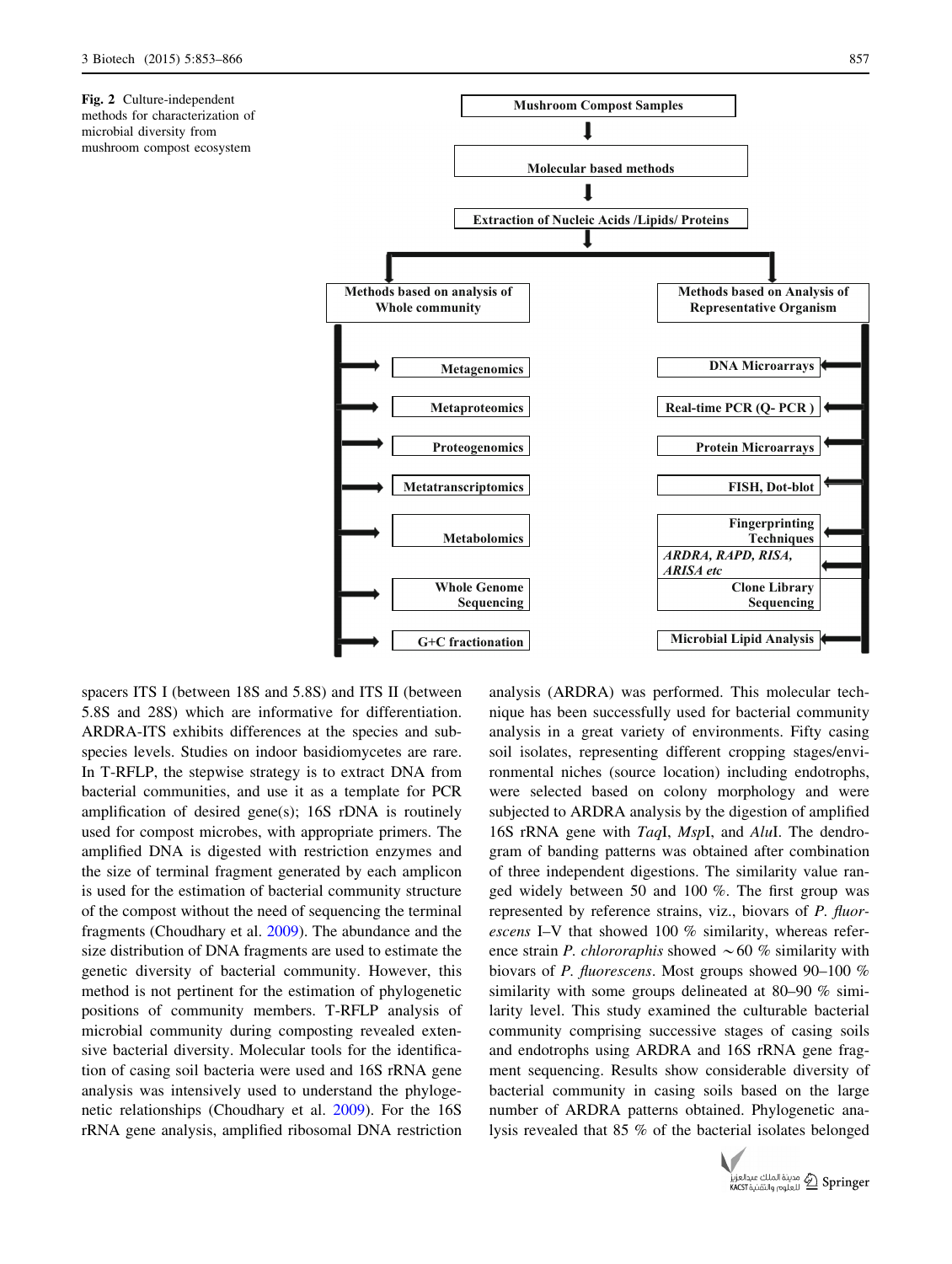<span id="page-4-0"></span>

spacers ITS I (between 18S and 5.8S) and ITS II (between 5.8S and 28S) which are informative for differentiation. ARDRA-ITS exhibits differences at the species and subspecies levels. Studies on indoor basidiomycetes are rare. In T-RFLP, the stepwise strategy is to extract DNA from bacterial communities, and use it as a template for PCR amplification of desired gene(s); 16S rDNA is routinely used for compost microbes, with appropriate primers. The amplified DNA is digested with restriction enzymes and the size of terminal fragment generated by each amplicon is used for the estimation of bacterial community structure of the compost without the need of sequencing the terminal fragments (Choudhary et al. [2009\)](#page-11-0). The abundance and the size distribution of DNA fragments are used to estimate the genetic diversity of bacterial community. However, this method is not pertinent for the estimation of phylogenetic positions of community members. T-RFLP analysis of microbial community during composting revealed extensive bacterial diversity. Molecular tools for the identification of casing soil bacteria were used and 16S rRNA gene analysis was intensively used to understand the phylogenetic relationships (Choudhary et al. [2009\)](#page-11-0). For the 16S rRNA gene analysis, amplified ribosomal DNA restriction analysis (ARDRA) was performed. This molecular technique has been successfully used for bacterial community analysis in a great variety of environments. Fifty casing soil isolates, representing different cropping stages/environmental niches (source location) including endotrophs, were selected based on colony morphology and were subjected to ARDRA analysis by the digestion of amplified 16S rRNA gene with TaqI, MspI, and AluI. The dendrogram of banding patterns was obtained after combination of three independent digestions. The similarity value ranged widely between 50 and 100 %. The first group was represented by reference strains, viz., biovars of P. fluorescens I–V that showed 100 % similarity, whereas reference strain *P. chlororaphis* showed  $\sim 60$  % similarity with biovars of P. fluorescens. Most groups showed 90–100 % similarity with some groups delineated at 80–90 % similarity level. This study examined the culturable bacterial community comprising successive stages of casing soils and endotrophs using ARDRA and 16S rRNA gene fragment sequencing. Results show considerable diversity of bacterial community in casing soils based on the large number of ARDRA patterns obtained. Phylogenetic analysis revealed that 85 % of the bacterial isolates belonged

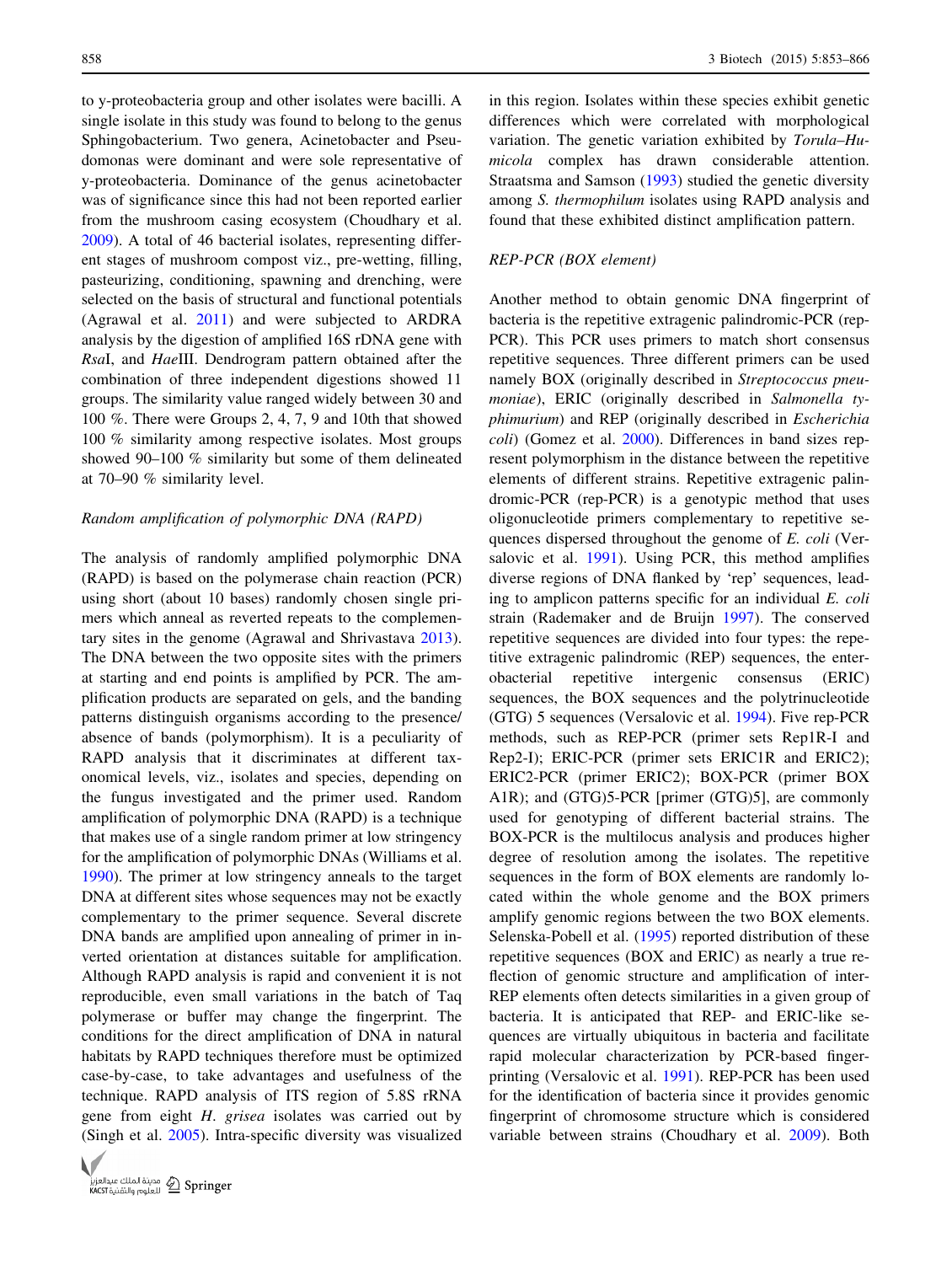to y-proteobacteria group and other isolates were bacilli. A single isolate in this study was found to belong to the genus Sphingobacterium. Two genera, Acinetobacter and Pseudomonas were dominant and were sole representative of y-proteobacteria. Dominance of the genus acinetobacter was of significance since this had not been reported earlier from the mushroom casing ecosystem (Choudhary et al. [2009\)](#page-11-0). A total of 46 bacterial isolates, representing different stages of mushroom compost viz., pre-wetting, filling, pasteurizing, conditioning, spawning and drenching, were selected on the basis of structural and functional potentials (Agrawal et al. [2011\)](#page-11-0) and were subjected to ARDRA analysis by the digestion of amplified 16S rDNA gene with RsaI, and HaeIII. Dendrogram pattern obtained after the combination of three independent digestions showed 11 groups. The similarity value ranged widely between 30 and 100 %. There were Groups 2, 4, 7, 9 and 10th that showed 100 % similarity among respective isolates. Most groups showed 90–100 % similarity but some of them delineated at 70–90 % similarity level.

### Random amplification of polymorphic DNA (RAPD)

The analysis of randomly amplified polymorphic DNA (RAPD) is based on the polymerase chain reaction (PCR) using short (about 10 bases) randomly chosen single primers which anneal as reverted repeats to the complementary sites in the genome (Agrawal and Shrivastava [2013](#page-11-0)). The DNA between the two opposite sites with the primers at starting and end points is amplified by PCR. The amplification products are separated on gels, and the banding patterns distinguish organisms according to the presence/ absence of bands (polymorphism). It is a peculiarity of RAPD analysis that it discriminates at different taxonomical levels, viz., isolates and species, depending on the fungus investigated and the primer used. Random amplification of polymorphic DNA (RAPD) is a technique that makes use of a single random primer at low stringency for the amplification of polymorphic DNAs (Williams et al. [1990\)](#page-13-0). The primer at low stringency anneals to the target DNA at different sites whose sequences may not be exactly complementary to the primer sequence. Several discrete DNA bands are amplified upon annealing of primer in inverted orientation at distances suitable for amplification. Although RAPD analysis is rapid and convenient it is not reproducible, even small variations in the batch of Taq polymerase or buffer may change the fingerprint. The conditions for the direct amplification of DNA in natural habitats by RAPD techniques therefore must be optimized case-by-case, to take advantages and usefulness of the technique. RAPD analysis of ITS region of 5.8S rRNA gene from eight H. grisea isolates was carried out by (Singh et al. [2005](#page-13-0)). Intra-specific diversity was visualized



in this region. Isolates within these species exhibit genetic differences which were correlated with morphological variation. The genetic variation exhibited by Torula–Humicola complex has drawn considerable attention. Straatsma and Samson ([1993\)](#page-13-0) studied the genetic diversity among S. thermophilum isolates using RAPD analysis and found that these exhibited distinct amplification pattern.

### REP-PCR (BOX element)

Another method to obtain genomic DNA fingerprint of bacteria is the repetitive extragenic palindromic-PCR (rep-PCR). This PCR uses primers to match short consensus repetitive sequences. Three different primers can be used namely BOX (originally described in Streptococcus pneumoniae), ERIC (originally described in Salmonella typhimurium) and REP (originally described in Escherichia coli) (Gomez et al. [2000](#page-12-0)). Differences in band sizes represent polymorphism in the distance between the repetitive elements of different strains. Repetitive extragenic palindromic-PCR (rep-PCR) is a genotypic method that uses oligonucleotide primers complementary to repetitive sequences dispersed throughout the genome of E. coli (Versalovic et al. [1991\)](#page-13-0). Using PCR, this method amplifies diverse regions of DNA flanked by 'rep' sequences, leading to amplicon patterns specific for an individual E. coli strain (Rademaker and de Bruijn [1997](#page-12-0)). The conserved repetitive sequences are divided into four types: the repetitive extragenic palindromic (REP) sequences, the enterobacterial repetitive intergenic consensus (ERIC) sequences, the BOX sequences and the polytrinucleotide (GTG) 5 sequences (Versalovic et al. [1994\)](#page-13-0). Five rep-PCR methods, such as REP-PCR (primer sets Rep1R-I and Rep2-I); ERIC-PCR (primer sets ERIC1R and ERIC2); ERIC2-PCR (primer ERIC2); BOX-PCR (primer BOX A1R); and (GTG)5-PCR [primer (GTG)5], are commonly used for genotyping of different bacterial strains. The BOX-PCR is the multilocus analysis and produces higher degree of resolution among the isolates. The repetitive sequences in the form of BOX elements are randomly located within the whole genome and the BOX primers amplify genomic regions between the two BOX elements. Selenska-Pobell et al. [\(1995](#page-13-0)) reported distribution of these repetitive sequences (BOX and ERIC) as nearly a true reflection of genomic structure and amplification of inter-REP elements often detects similarities in a given group of bacteria. It is anticipated that REP- and ERIC-like sequences are virtually ubiquitous in bacteria and facilitate rapid molecular characterization by PCR-based fingerprinting (Versalovic et al. [1991](#page-13-0)). REP-PCR has been used for the identification of bacteria since it provides genomic fingerprint of chromosome structure which is considered variable between strains (Choudhary et al. [2009\)](#page-11-0). Both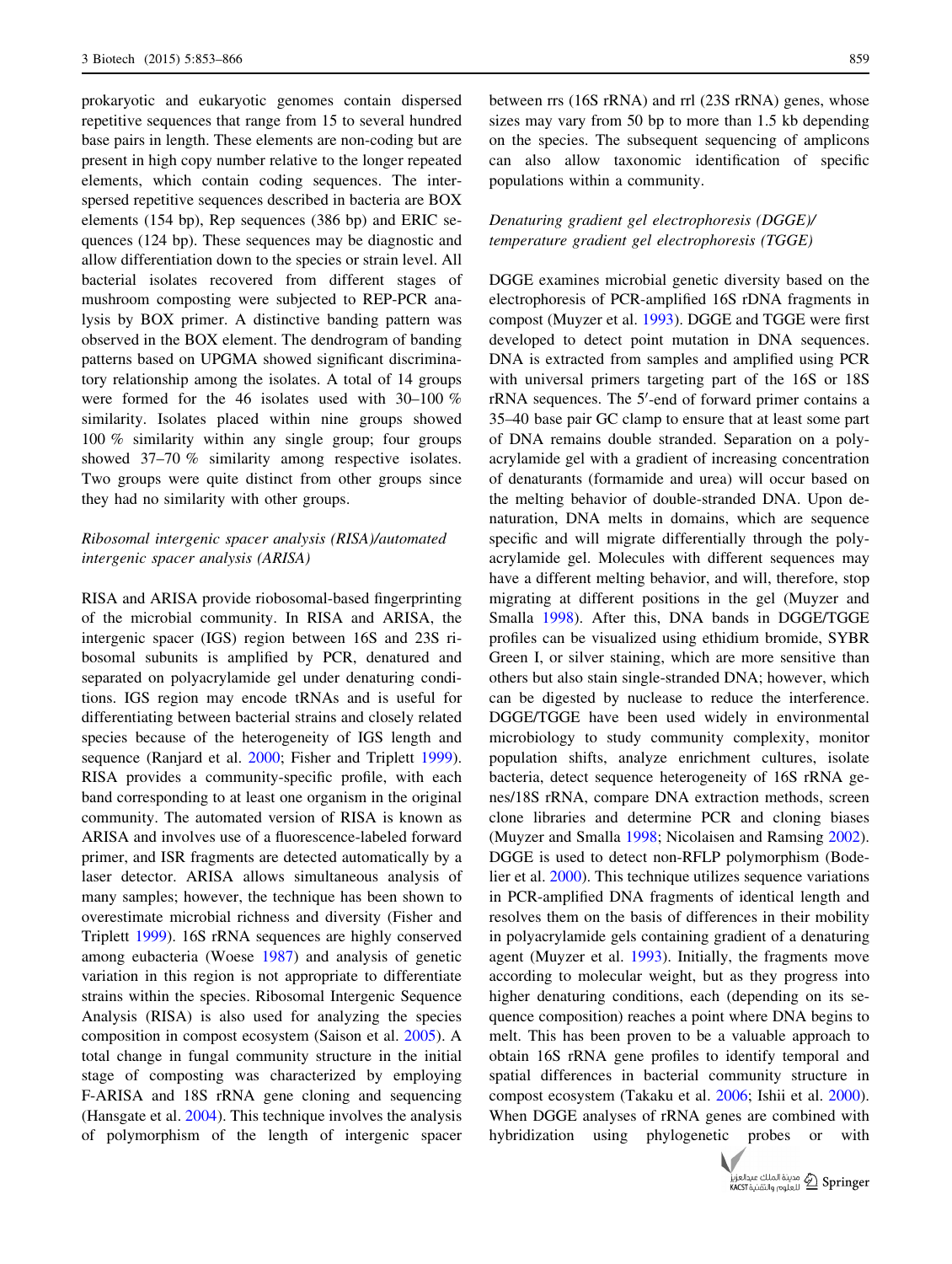prokaryotic and eukaryotic genomes contain dispersed repetitive sequences that range from 15 to several hundred base pairs in length. These elements are non-coding but are present in high copy number relative to the longer repeated elements, which contain coding sequences. The interspersed repetitive sequences described in bacteria are BOX elements (154 bp), Rep sequences (386 bp) and ERIC sequences (124 bp). These sequences may be diagnostic and allow differentiation down to the species or strain level. All bacterial isolates recovered from different stages of mushroom composting were subjected to REP-PCR analysis by BOX primer. A distinctive banding pattern was observed in the BOX element. The dendrogram of banding patterns based on UPGMA showed significant discriminatory relationship among the isolates. A total of 14 groups were formed for the 46 isolates used with 30–100 % similarity. Isolates placed within nine groups showed 100 % similarity within any single group; four groups showed 37–70 % similarity among respective isolates. Two groups were quite distinct from other groups since they had no similarity with other groups.

# Ribosomal intergenic spacer analysis (RISA)/automated intergenic spacer analysis (ARISA)

RISA and ARISA provide riobosomal-based fingerprinting of the microbial community. In RISA and ARISA, the intergenic spacer (IGS) region between 16S and 23S ribosomal subunits is amplified by PCR, denatured and separated on polyacrylamide gel under denaturing conditions. IGS region may encode tRNAs and is useful for differentiating between bacterial strains and closely related species because of the heterogeneity of IGS length and sequence (Ranjard et al. [2000](#page-12-0); Fisher and Triplett [1999](#page-11-0)). RISA provides a community-specific profile, with each band corresponding to at least one organism in the original community. The automated version of RISA is known as ARISA and involves use of a fluorescence-labeled forward primer, and ISR fragments are detected automatically by a laser detector. ARISA allows simultaneous analysis of many samples; however, the technique has been shown to overestimate microbial richness and diversity (Fisher and Triplett [1999](#page-11-0)). 16S rRNA sequences are highly conserved among eubacteria (Woese [1987\)](#page-13-0) and analysis of genetic variation in this region is not appropriate to differentiate strains within the species. Ribosomal Intergenic Sequence Analysis (RISA) is also used for analyzing the species composition in compost ecosystem (Saison et al. [2005\)](#page-13-0). A total change in fungal community structure in the initial stage of composting was characterized by employing F-ARISA and 18S rRNA gene cloning and sequencing (Hansgate et al. [2004\)](#page-12-0). This technique involves the analysis of polymorphism of the length of intergenic spacer between rrs (16S rRNA) and rrl (23S rRNA) genes, whose sizes may vary from 50 bp to more than 1.5 kb depending on the species. The subsequent sequencing of amplicons can also allow taxonomic identification of specific populations within a community.

# Denaturing gradient gel electrophoresis (DGGE)/ temperature gradient gel electrophoresis (TGGE)

DGGE examines microbial genetic diversity based on the electrophoresis of PCR-amplified 16S rDNA fragments in compost (Muyzer et al. [1993\)](#page-12-0). DGGE and TGGE were first developed to detect point mutation in DNA sequences. DNA is extracted from samples and amplified using PCR with universal primers targeting part of the 16S or 18S rRNA sequences. The 5'-end of forward primer contains a 35–40 base pair GC clamp to ensure that at least some part of DNA remains double stranded. Separation on a polyacrylamide gel with a gradient of increasing concentration of denaturants (formamide and urea) will occur based on the melting behavior of double-stranded DNA. Upon denaturation, DNA melts in domains, which are sequence specific and will migrate differentially through the polyacrylamide gel. Molecules with different sequences may have a different melting behavior, and will, therefore, stop migrating at different positions in the gel (Muyzer and Smalla [1998](#page-12-0)). After this, DNA bands in DGGE/TGGE profiles can be visualized using ethidium bromide, SYBR Green I, or silver staining, which are more sensitive than others but also stain single-stranded DNA; however, which can be digested by nuclease to reduce the interference. DGGE/TGGE have been used widely in environmental microbiology to study community complexity, monitor population shifts, analyze enrichment cultures, isolate bacteria, detect sequence heterogeneity of 16S rRNA genes/18S rRNA, compare DNA extraction methods, screen clone libraries and determine PCR and cloning biases (Muyzer and Smalla [1998](#page-12-0); Nicolaisen and Ramsing [2002](#page-12-0)). DGGE is used to detect non-RFLP polymorphism (Bodelier et al. [2000](#page-11-0)). This technique utilizes sequence variations in PCR-amplified DNA fragments of identical length and resolves them on the basis of differences in their mobility in polyacrylamide gels containing gradient of a denaturing agent (Muyzer et al. [1993](#page-12-0)). Initially, the fragments move according to molecular weight, but as they progress into higher denaturing conditions, each (depending on its sequence composition) reaches a point where DNA begins to melt. This has been proven to be a valuable approach to obtain 16S rRNA gene profiles to identify temporal and spatial differences in bacterial community structure in compost ecosystem (Takaku et al. [2006](#page-13-0); Ishii et al. [2000](#page-12-0)). When DGGE analyses of rRNA genes are combined with hybridization using phylogenetic probes or with

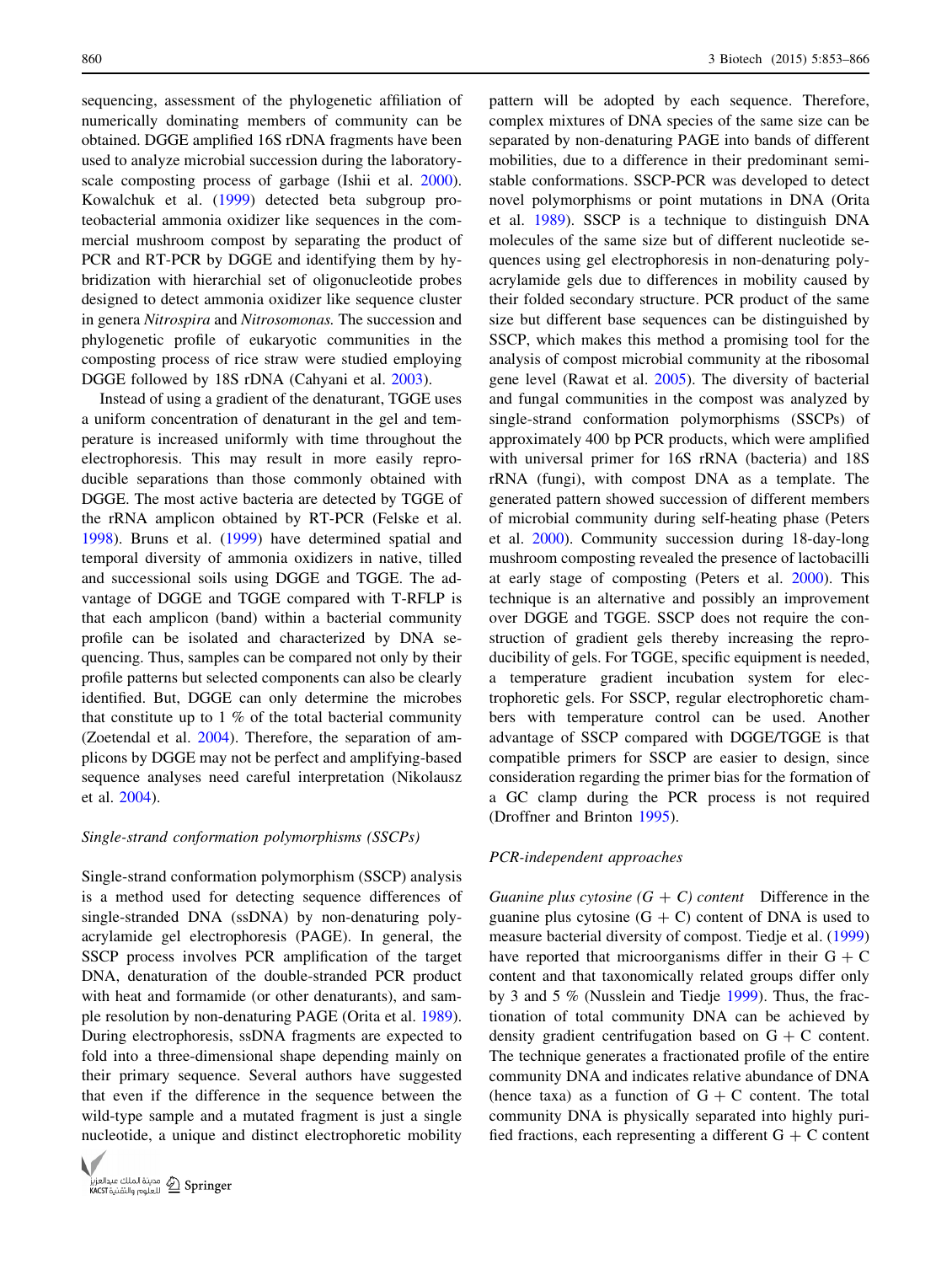sequencing, assessment of the phylogenetic affiliation of numerically dominating members of community can be obtained. DGGE amplified 16S rDNA fragments have been used to analyze microbial succession during the laboratoryscale composting process of garbage (Ishii et al. [2000](#page-12-0)). Kowalchuk et al. ([1999](#page-12-0)) detected beta subgroup proteobacterial ammonia oxidizer like sequences in the commercial mushroom compost by separating the product of PCR and RT-PCR by DGGE and identifying them by hybridization with hierarchial set of oligonucleotide probes designed to detect ammonia oxidizer like sequence cluster in genera Nitrospira and Nitrosomonas. The succession and phylogenetic profile of eukaryotic communities in the composting process of rice straw were studied employing DGGE followed by 18S rDNA (Cahyani et al. [2003\)](#page-11-0).

Instead of using a gradient of the denaturant, TGGE uses a uniform concentration of denaturant in the gel and temperature is increased uniformly with time throughout the electrophoresis. This may result in more easily reproducible separations than those commonly obtained with DGGE. The most active bacteria are detected by TGGE of the rRNA amplicon obtained by RT-PCR (Felske et al. [1998\)](#page-11-0). Bruns et al. [\(1999](#page-11-0)) have determined spatial and temporal diversity of ammonia oxidizers in native, tilled and successional soils using DGGE and TGGE. The advantage of DGGE and TGGE compared with T-RFLP is that each amplicon (band) within a bacterial community profile can be isolated and characterized by DNA sequencing. Thus, samples can be compared not only by their profile patterns but selected components can also be clearly identified. But, DGGE can only determine the microbes that constitute up to  $1\%$  of the total bacterial community (Zoetendal et al. [2004\)](#page-13-0). Therefore, the separation of amplicons by DGGE may not be perfect and amplifying-based sequence analyses need careful interpretation (Nikolausz et al. [2004\)](#page-12-0).

#### Single-strand conformation polymorphisms (SSCPs)

Single-strand conformation polymorphism (SSCP) analysis is a method used for detecting sequence differences of single-stranded DNA (ssDNA) by non-denaturing polyacrylamide gel electrophoresis (PAGE). In general, the SSCP process involves PCR amplification of the target DNA, denaturation of the double-stranded PCR product with heat and formamide (or other denaturants), and sample resolution by non-denaturing PAGE (Orita et al. [1989](#page-12-0)). During electrophoresis, ssDNA fragments are expected to fold into a three-dimensional shape depending mainly on their primary sequence. Several authors have suggested that even if the difference in the sequence between the wild-type sample and a mutated fragment is just a single nucleotide, a unique and distinct electrophoretic mobility



pattern will be adopted by each sequence. Therefore, complex mixtures of DNA species of the same size can be separated by non-denaturing PAGE into bands of different mobilities, due to a difference in their predominant semistable conformations. SSCP-PCR was developed to detect novel polymorphisms or point mutations in DNA (Orita et al. [1989\)](#page-12-0). SSCP is a technique to distinguish DNA molecules of the same size but of different nucleotide sequences using gel electrophoresis in non-denaturing polyacrylamide gels due to differences in mobility caused by their folded secondary structure. PCR product of the same size but different base sequences can be distinguished by SSCP, which makes this method a promising tool for the analysis of compost microbial community at the ribosomal gene level (Rawat et al. [2005\)](#page-13-0). The diversity of bacterial and fungal communities in the compost was analyzed by single-strand conformation polymorphisms (SSCPs) of approximately 400 bp PCR products, which were amplified with universal primer for 16S rRNA (bacteria) and 18S rRNA (fungi), with compost DNA as a template. The generated pattern showed succession of different members of microbial community during self-heating phase (Peters et al. [2000](#page-12-0)). Community succession during 18-day-long mushroom composting revealed the presence of lactobacilli at early stage of composting (Peters et al. [2000](#page-12-0)). This technique is an alternative and possibly an improvement over DGGE and TGGE. SSCP does not require the construction of gradient gels thereby increasing the reproducibility of gels. For TGGE, specific equipment is needed, a temperature gradient incubation system for electrophoretic gels. For SSCP, regular electrophoretic chambers with temperature control can be used. Another advantage of SSCP compared with DGGE/TGGE is that compatible primers for SSCP are easier to design, since consideration regarding the primer bias for the formation of a GC clamp during the PCR process is not required (Droffner and Brinton [1995](#page-11-0)).

### PCR-independent approaches

Guanine plus cytosine  $(G + C)$  content Difference in the guanine plus cytosine  $(G + C)$  content of DNA is used to measure bacterial diversity of compost. Tiedje et al. ([1999\)](#page-13-0) have reported that microorganisms differ in their  $G + C$ content and that taxonomically related groups differ only by 3 and 5 % (Nusslein and Tiedje [1999\)](#page-12-0). Thus, the fractionation of total community DNA can be achieved by density gradient centrifugation based on  $G + C$  content. The technique generates a fractionated profile of the entire community DNA and indicates relative abundance of DNA (hence taxa) as a function of  $G + C$  content. The total community DNA is physically separated into highly purified fractions, each representing a different  $G + C$  content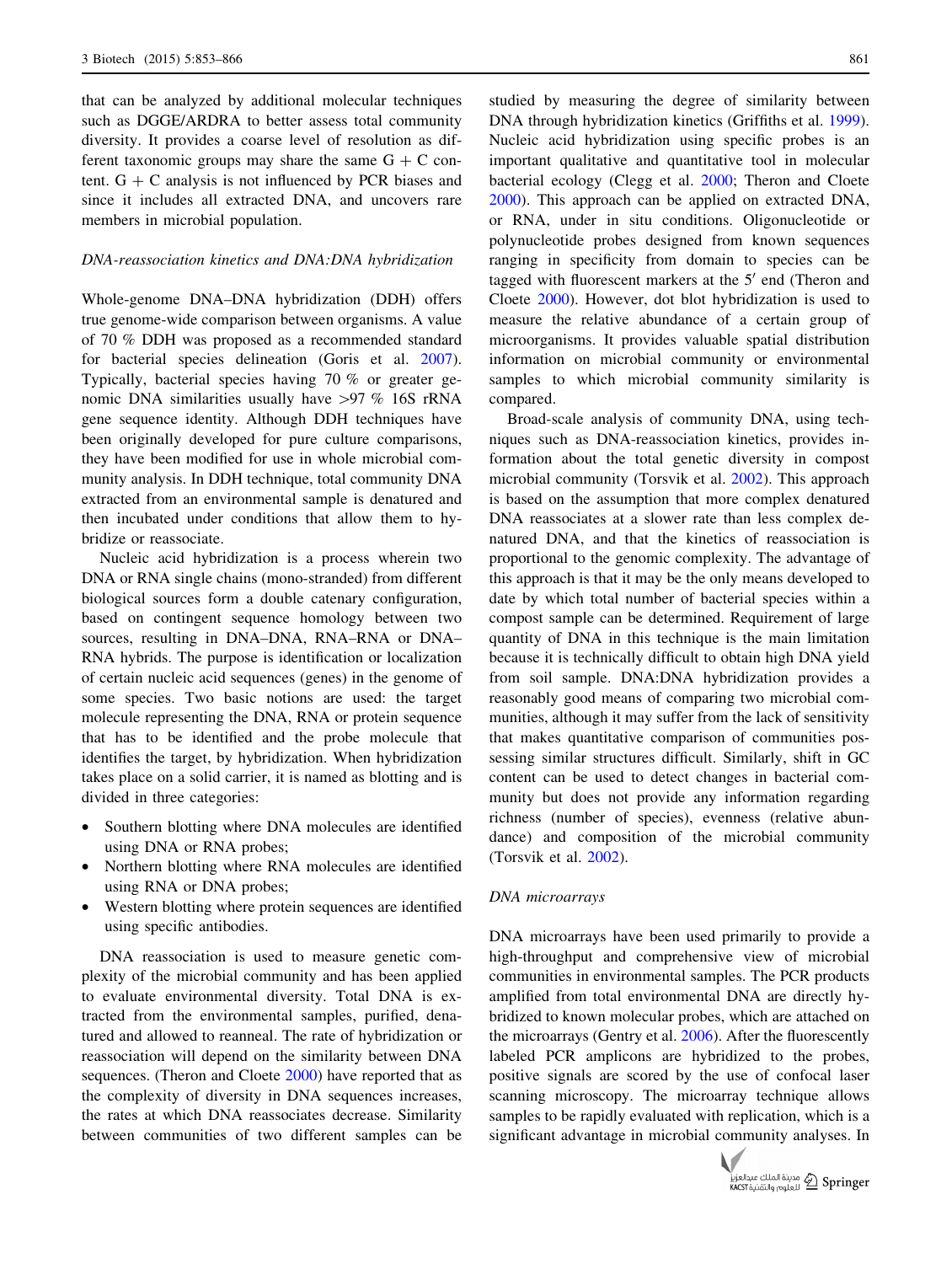that can be analyzed by additional molecular techniques such as DGGE/ARDRA to better assess total community diversity. It provides a coarse level of resolution as different taxonomic groups may share the same  $G + C$  content.  $G + C$  analysis is not influenced by PCR biases and since it includes all extracted DNA, and uncovers rare members in microbial population.

### DNA-reassociation kinetics and DNA:DNA hybridization

Whole-genome DNA–DNA hybridization (DDH) offers true genome-wide comparison between organisms. A value of 70 % DDH was proposed as a recommended standard for bacterial species delineation (Goris et al. [2007](#page-12-0)). Typically, bacterial species having 70 % or greater genomic DNA similarities usually have  $>97 \%$  16S rRNA gene sequence identity. Although DDH techniques have been originally developed for pure culture comparisons, they have been modified for use in whole microbial community analysis. In DDH technique, total community DNA extracted from an environmental sample is denatured and then incubated under conditions that allow them to hybridize or reassociate.

Nucleic acid hybridization is a process wherein two DNA or RNA single chains (mono-stranded) from different biological sources form a double catenary configuration, based on contingent sequence homology between two sources, resulting in DNA–DNA, RNA–RNA or DNA– RNA hybrids. The purpose is identification or localization of certain nucleic acid sequences (genes) in the genome of some species. Two basic notions are used: the target molecule representing the DNA, RNA or protein sequence that has to be identified and the probe molecule that identifies the target, by hybridization. When hybridization takes place on a solid carrier, it is named as blotting and is divided in three categories:

- Southern blotting where DNA molecules are identified using DNA or RNA probes;
- Northern blotting where RNA molecules are identified using RNA or DNA probes;
- Western blotting where protein sequences are identified using specific antibodies.

DNA reassociation is used to measure genetic complexity of the microbial community and has been applied to evaluate environmental diversity. Total DNA is extracted from the environmental samples, purified, denatured and allowed to reanneal. The rate of hybridization or reassociation will depend on the similarity between DNA sequences. (Theron and Cloete [2000\)](#page-13-0) have reported that as the complexity of diversity in DNA sequences increases, the rates at which DNA reassociates decrease. Similarity between communities of two different samples can be studied by measuring the degree of similarity between DNA through hybridization kinetics (Griffiths et al. [1999](#page-12-0)). Nucleic acid hybridization using specific probes is an important qualitative and quantitative tool in molecular bacterial ecology (Clegg et al. [2000;](#page-11-0) Theron and Cloete [2000](#page-13-0)). This approach can be applied on extracted DNA, or RNA, under in situ conditions. Oligonucleotide or polynucleotide probes designed from known sequences ranging in specificity from domain to species can be tagged with fluorescent markers at the  $5'$  end (Theron and Cloete [2000](#page-13-0)). However, dot blot hybridization is used to measure the relative abundance of a certain group of microorganisms. It provides valuable spatial distribution information on microbial community or environmental samples to which microbial community similarity is compared.

Broad-scale analysis of community DNA, using techniques such as DNA-reassociation kinetics, provides information about the total genetic diversity in compost microbial community (Torsvik et al. [2002\)](#page-13-0). This approach is based on the assumption that more complex denatured DNA reassociates at a slower rate than less complex denatured DNA, and that the kinetics of reassociation is proportional to the genomic complexity. The advantage of this approach is that it may be the only means developed to date by which total number of bacterial species within a compost sample can be determined. Requirement of large quantity of DNA in this technique is the main limitation because it is technically difficult to obtain high DNA yield from soil sample. DNA:DNA hybridization provides a reasonably good means of comparing two microbial communities, although it may suffer from the lack of sensitivity that makes quantitative comparison of communities possessing similar structures difficult. Similarly, shift in GC content can be used to detect changes in bacterial community but does not provide any information regarding richness (number of species), evenness (relative abundance) and composition of the microbial community (Torsvik et al. [2002\)](#page-13-0).

# DNA microarrays

DNA microarrays have been used primarily to provide a high-throughput and comprehensive view of microbial communities in environmental samples. The PCR products amplified from total environmental DNA are directly hybridized to known molecular probes, which are attached on the microarrays (Gentry et al. [2006](#page-11-0)). After the fluorescently labeled PCR amplicons are hybridized to the probes, positive signals are scored by the use of confocal laser scanning microscopy. The microarray technique allows samples to be rapidly evaluated with replication, which is a significant advantage in microbial community analyses. In

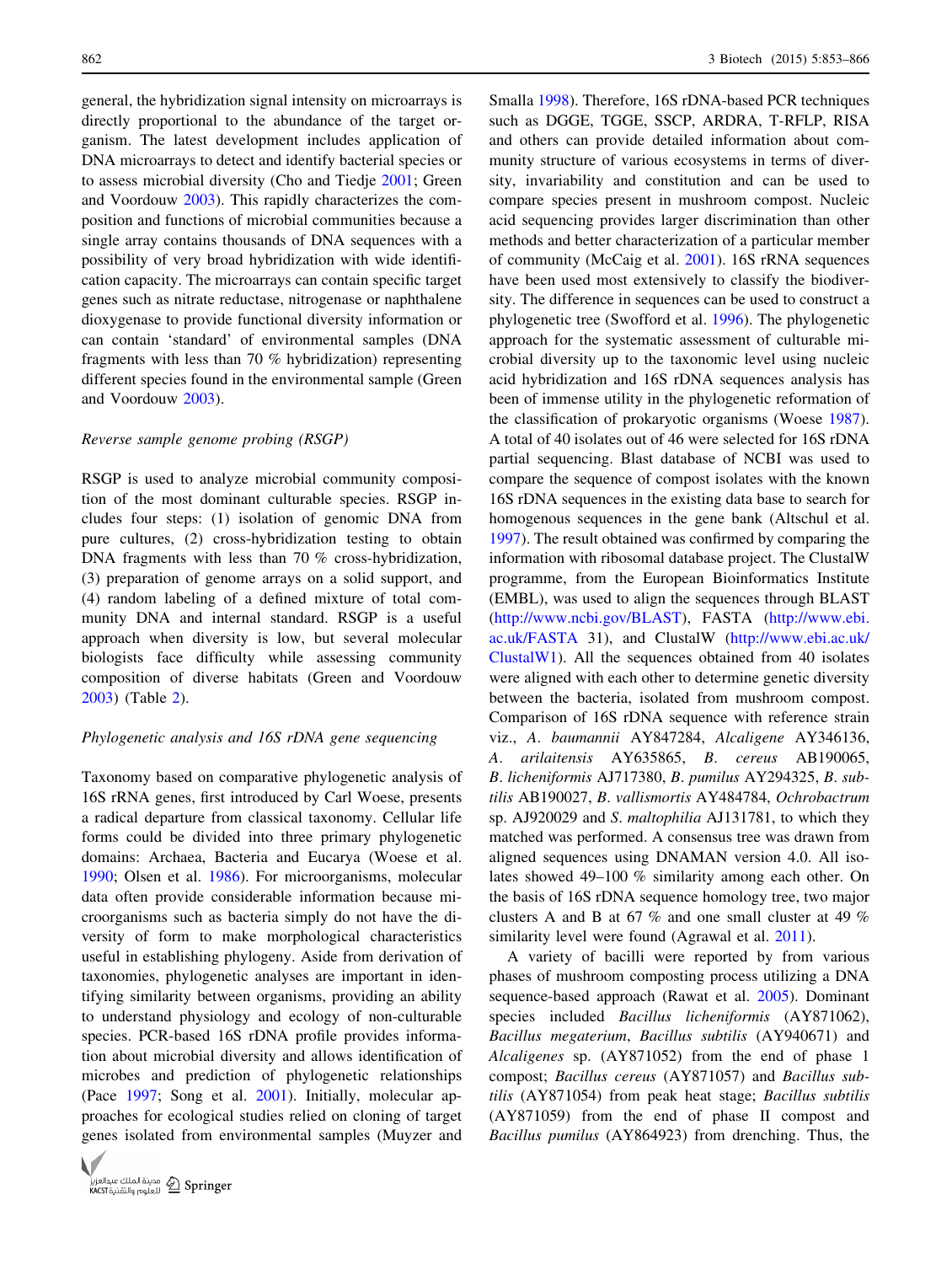general, the hybridization signal intensity on microarrays is directly proportional to the abundance of the target organism. The latest development includes application of DNA microarrays to detect and identify bacterial species or to assess microbial diversity (Cho and Tiedje [2001;](#page-11-0) Green and Voordouw [2003\)](#page-12-0). This rapidly characterizes the composition and functions of microbial communities because a single array contains thousands of DNA sequences with a possibility of very broad hybridization with wide identification capacity. The microarrays can contain specific target genes such as nitrate reductase, nitrogenase or naphthalene dioxygenase to provide functional diversity information or can contain 'standard' of environmental samples (DNA fragments with less than 70 % hybridization) representing different species found in the environmental sample (Green and Voordouw [2003\)](#page-12-0).

### Reverse sample genome probing (RSGP)

RSGP is used to analyze microbial community composition of the most dominant culturable species. RSGP includes four steps: (1) isolation of genomic DNA from pure cultures, (2) cross-hybridization testing to obtain DNA fragments with less than 70 % cross-hybridization, (3) preparation of genome arrays on a solid support, and (4) random labeling of a defined mixture of total community DNA and internal standard. RSGP is a useful approach when diversity is low, but several molecular biologists face difficulty while assessing community composition of diverse habitats (Green and Voordouw [2003\)](#page-12-0) (Table [2\)](#page-10-0).

### Phylogenetic analysis and 16S rDNA gene sequencing

Taxonomy based on comparative phylogenetic analysis of 16S rRNA genes, first introduced by Carl Woese, presents a radical departure from classical taxonomy. Cellular life forms could be divided into three primary phylogenetic domains: Archaea, Bacteria and Eucarya (Woese et al. [1990;](#page-13-0) Olsen et al. [1986](#page-12-0)). For microorganisms, molecular data often provide considerable information because microorganisms such as bacteria simply do not have the diversity of form to make morphological characteristics useful in establishing phylogeny. Aside from derivation of taxonomies, phylogenetic analyses are important in identifying similarity between organisms, providing an ability to understand physiology and ecology of non-culturable species. PCR-based 16S rDNA profile provides information about microbial diversity and allows identification of microbes and prediction of phylogenetic relationships (Pace [1997;](#page-12-0) Song et al. [2001](#page-13-0)). Initially, molecular approaches for ecological studies relied on cloning of target genes isolated from environmental samples (Muyzer and Smalla [1998](#page-12-0)). Therefore, 16S rDNA-based PCR techniques such as DGGE, TGGE, SSCP, ARDRA, T-RFLP, RISA and others can provide detailed information about community structure of various ecosystems in terms of diversity, invariability and constitution and can be used to compare species present in mushroom compost. Nucleic acid sequencing provides larger discrimination than other methods and better characterization of a particular member of community (McCaig et al. [2001\)](#page-12-0). 16S rRNA sequences have been used most extensively to classify the biodiversity. The difference in sequences can be used to construct a phylogenetic tree (Swofford et al. [1996](#page-13-0)). The phylogenetic approach for the systematic assessment of culturable microbial diversity up to the taxonomic level using nucleic acid hybridization and 16S rDNA sequences analysis has been of immense utility in the phylogenetic reformation of the classification of prokaryotic organisms (Woese [1987](#page-13-0)). A total of 40 isolates out of 46 were selected for 16S rDNA partial sequencing. Blast database of NCBI was used to compare the sequence of compost isolates with the known 16S rDNA sequences in the existing data base to search for homogenous sequences in the gene bank (Altschul et al. [1997](#page-11-0)). The result obtained was confirmed by comparing the information with ribosomal database project. The ClustalW programme, from the European Bioinformatics Institute (EMBL), was used to align the sequences through BLAST [\(http://www.ncbi.gov/BLAST\)](http://www.ncbi.gov/BLAST), FASTA [\(http://www.ebi.](http://www.ebi.ac.uk/FASTA) [ac.uk/FASTA](http://www.ebi.ac.uk/FASTA) 31), and ClustalW [\(http://www.ebi.ac.uk/](http://www.ebi.ac.uk/ClustalW1) [ClustalW1](http://www.ebi.ac.uk/ClustalW1)). All the sequences obtained from 40 isolates were aligned with each other to determine genetic diversity between the bacteria, isolated from mushroom compost. Comparison of 16S rDNA sequence with reference strain viz., A. baumannii AY847284, Alcaligene AY346136, A. arilaitensis AY635865, B. cereus AB190065, B. licheniformis AJ717380, B. pumilus AY294325, B. subtilis AB190027, B. vallismortis AY484784, Ochrobactrum sp. AJ920029 and S. maltophilia AJ131781, to which they matched was performed. A consensus tree was drawn from aligned sequences using DNAMAN version 4.0. All isolates showed 49–100 % similarity among each other. On the basis of 16S rDNA sequence homology tree, two major clusters A and B at 67 % and one small cluster at 49 % similarity level were found (Agrawal et al. [2011\)](#page-11-0).

A variety of bacilli were reported by from various phases of mushroom composting process utilizing a DNA sequence-based approach (Rawat et al. [2005\)](#page-13-0). Dominant species included Bacillus licheniformis (AY871062), Bacillus megaterium, Bacillus subtilis (AY940671) and Alcaligenes sp. (AY871052) from the end of phase 1 compost; Bacillus cereus (AY871057) and Bacillus subtilis (AY871054) from peak heat stage; Bacillus subtilis (AY871059) from the end of phase II compost and Bacillus pumilus (AY864923) from drenching. Thus, the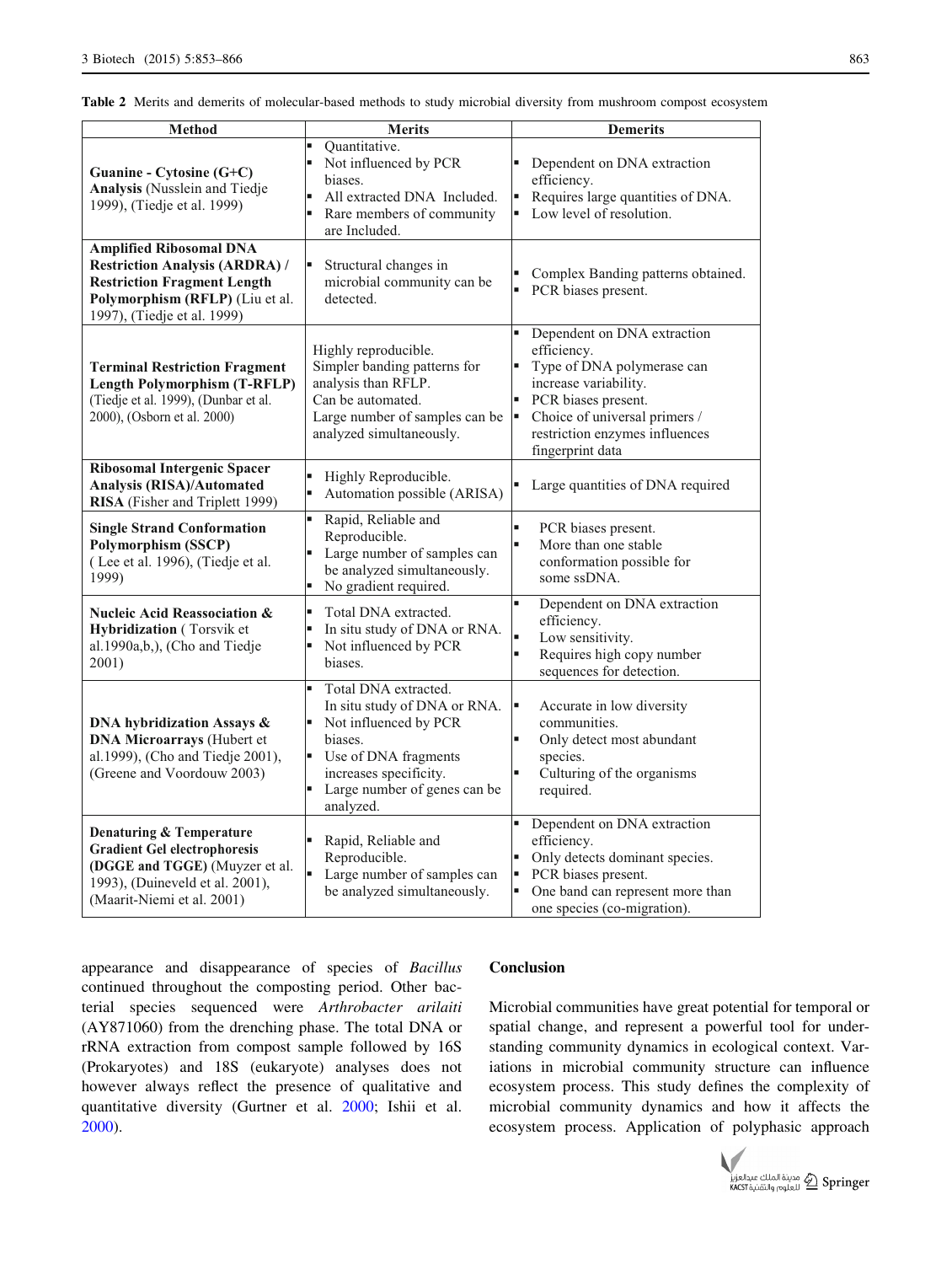<span id="page-10-0"></span>

| Method                                                                                                                                                                          | <b>Merits</b>                                                                                                                                                                                 | <b>Demerits</b>                                                                                                                                                                                                 |
|---------------------------------------------------------------------------------------------------------------------------------------------------------------------------------|-----------------------------------------------------------------------------------------------------------------------------------------------------------------------------------------------|-----------------------------------------------------------------------------------------------------------------------------------------------------------------------------------------------------------------|
| Guanine - Cytosine (G+C)<br>Analysis (Nusslein and Tiedje<br>1999), (Tiedje et al. 1999)                                                                                        | Quantitative.<br>×,<br>Not influenced by PCR<br>biases.<br>All extracted DNA Included.<br>Rare members of community<br>are Included.                                                          | Dependent on DNA extraction<br>efficiency.<br>Requires large quantities of DNA.<br>×,<br>Low level of resolution.                                                                                               |
| <b>Amplified Ribosomal DNA</b><br><b>Restriction Analysis (ARDRA) /</b><br><b>Restriction Fragment Length</b><br>Polymorphism (RFLP) (Liu et al.<br>1997), (Tiedje et al. 1999) | Structural changes in<br>microbial community can be<br>detected.                                                                                                                              | Complex Banding patterns obtained.<br>×,<br>PCR biases present.                                                                                                                                                 |
| <b>Terminal Restriction Fragment</b><br><b>Length Polymorphism (T-RFLP)</b><br>(Tiedje et al. 1999), (Dunbar et al.<br>2000), (Osborn et al. 2000)                              | Highly reproducible.<br>Simpler banding patterns for<br>analysis than RFLP.<br>Can be automated.<br>Large number of samples can be<br>analyzed simultaneously.                                | Dependent on DNA extraction<br>efficiency.<br>Type of DNA polymerase can<br>increase variability.<br>PCR biases present.<br>Choice of universal primers /<br>restriction enzymes influences<br>fingerprint data |
| <b>Ribosomal Intergenic Spacer</b><br><b>Analysis (RISA)/Automated</b><br>RISA (Fisher and Triplett 1999)                                                                       | Highly Reproducible.<br>i.<br>Automation possible (ARISA)                                                                                                                                     | Large quantities of DNA required                                                                                                                                                                                |
| <b>Single Strand Conformation</b><br><b>Polymorphism (SSCP)</b><br>(Lee et al. 1996), (Tiedje et al.<br>1999)                                                                   | Rapid, Reliable and<br>Reproducible.<br>Large number of samples can<br>be analyzed simultaneously.<br>No gradient required.                                                                   | H<br>PCR biases present.<br>H<br>More than one stable<br>conformation possible for<br>some ssDNA.                                                                                                               |
| <b>Nucleic Acid Reassociation &amp;</b><br>Hybridization (Torsvik et<br>al.1990a,b,), (Cho and Tiedje<br>2001)                                                                  | Total DNA extracted.<br>×,<br>In situ study of DNA or RNA.<br>Not influenced by PCR<br>biases.                                                                                                | $\blacksquare$<br>Dependent on DNA extraction<br>efficiency.<br>Low sensitivity.<br>ä,<br>Requires high copy number<br>sequences for detection.                                                                 |
| DNA hybridization Assays &<br><b>DNA Microarrays</b> (Hubert et<br>al.1999), (Cho and Tiedje 2001),<br>(Greene and Voordouw 2003)                                               | ×,<br>Total DNA extracted.<br>In situ study of DNA or RNA.<br>Not influenced by PCR<br>biases.<br>Use of DNA fragments<br>increases specificity.<br>Large number of genes can be<br>analyzed. | Accurate in low diversity<br>E<br>communities.<br>Only detect most abundant<br>species.<br>Culturing of the organisms<br>required.                                                                              |
| Denaturing & Temperature<br><b>Gradient Gel electrophoresis</b><br>(DGGE and TGGE) (Muyzer et al.<br>1993), (Duineveld et al. 2001),<br>(Maarit-Niemi et al. 2001)              | Rapid, Reliable and<br>Reproducible.<br>Large number of samples can<br>be analyzed simultaneously.                                                                                            | Dependent on DNA extraction<br>٠<br>efficiency.<br>Only detects dominant species.<br>PCR biases present.<br>H.<br>One band can represent more than<br>one species (co-migration).                               |

appearance and disappearance of species of Bacillus continued throughout the composting period. Other bacterial species sequenced were Arthrobacter arilaiti (AY871060) from the drenching phase. The total DNA or rRNA extraction from compost sample followed by 16S (Prokaryotes) and 18S (eukaryote) analyses does not however always reflect the presence of qualitative and quantitative diversity (Gurtner et al. [2000](#page-12-0); Ishii et al. [2000\)](#page-12-0).

### Conclusion

Microbial communities have great potential for temporal or spatial change, and represent a powerful tool for understanding community dynamics in ecological context. Variations in microbial community structure can influence ecosystem process. This study defines the complexity of microbial community dynamics and how it affects the ecosystem process. Application of polyphasic approach

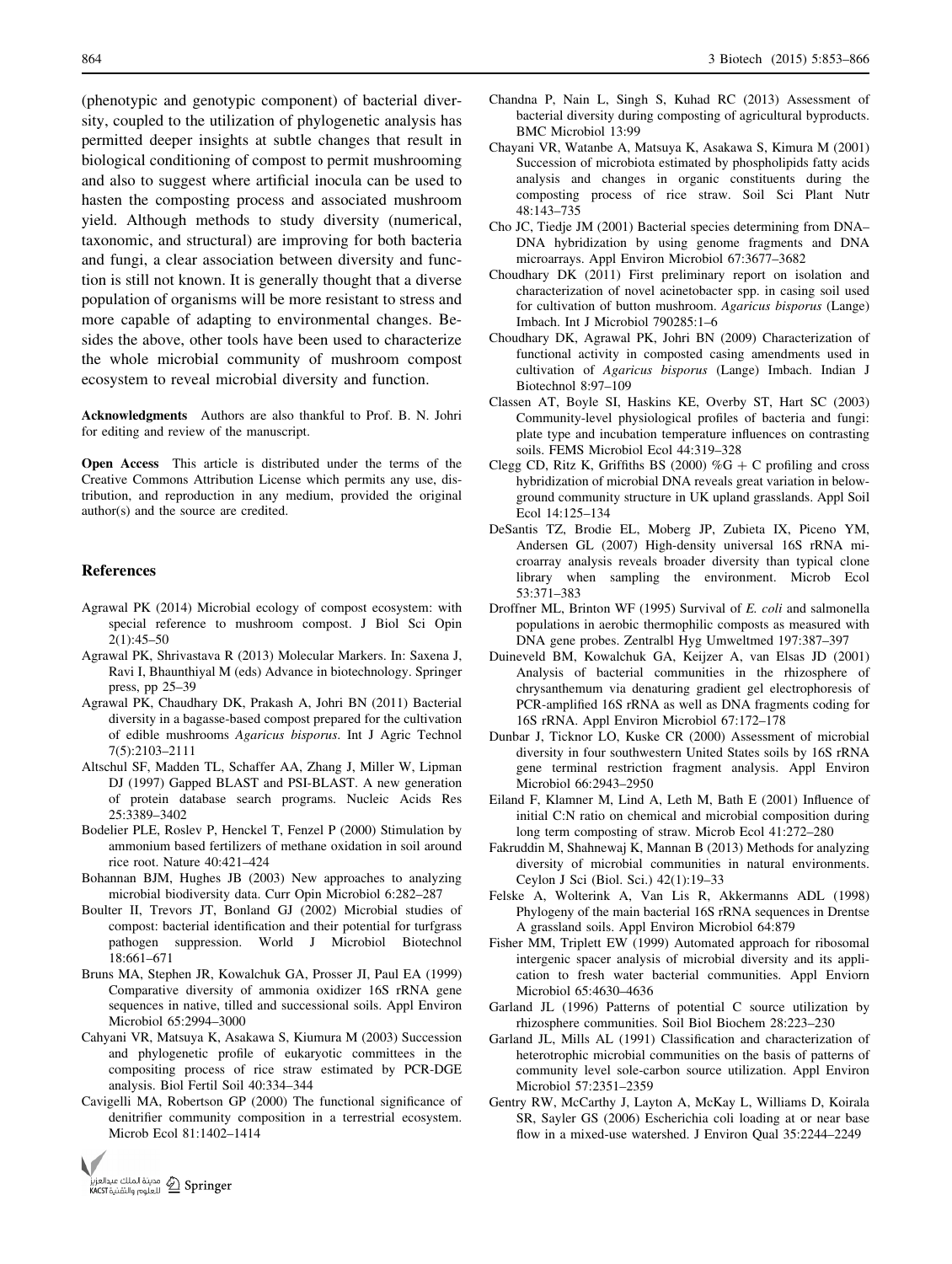<span id="page-11-0"></span>(phenotypic and genotypic component) of bacterial diversity, coupled to the utilization of phylogenetic analysis has permitted deeper insights at subtle changes that result in biological conditioning of compost to permit mushrooming and also to suggest where artificial inocula can be used to hasten the composting process and associated mushroom yield. Although methods to study diversity (numerical, taxonomic, and structural) are improving for both bacteria and fungi, a clear association between diversity and function is still not known. It is generally thought that a diverse population of organisms will be more resistant to stress and more capable of adapting to environmental changes. Besides the above, other tools have been used to characterize the whole microbial community of mushroom compost ecosystem to reveal microbial diversity and function.

Acknowledgments Authors are also thankful to Prof. B. N. Johri for editing and review of the manuscript.

Open Access This article is distributed under the terms of the Creative Commons Attribution License which permits any use, distribution, and reproduction in any medium, provided the original author(s) and the source are credited.

#### References

- Agrawal PK (2014) Microbial ecology of compost ecosystem: with special reference to mushroom compost. J Biol Sci Opin 2(1):45–50
- Agrawal PK, Shrivastava R (2013) Molecular Markers. In: Saxena J, Ravi I, Bhaunthiyal M (eds) Advance in biotechnology. Springer press, pp 25–39
- Agrawal PK, Chaudhary DK, Prakash A, Johri BN (2011) Bacterial diversity in a bagasse-based compost prepared for the cultivation of edible mushrooms Agaricus bisporus. Int J Agric Technol 7(5):2103–2111
- Altschul SF, Madden TL, Schaffer AA, Zhang J, Miller W, Lipman DJ (1997) Gapped BLAST and PSI-BLAST. A new generation of protein database search programs. Nucleic Acids Res 25:3389–3402
- Bodelier PLE, Roslev P, Henckel T, Fenzel P (2000) Stimulation by ammonium based fertilizers of methane oxidation in soil around rice root. Nature 40:421–424
- Bohannan BJM, Hughes JB (2003) New approaches to analyzing microbial biodiversity data. Curr Opin Microbiol 6:282–287
- Boulter II, Trevors JT, Bonland GJ (2002) Microbial studies of compost: bacterial identification and their potential for turfgrass pathogen suppression. World J Microbiol Biotechnol 18:661–671
- Bruns MA, Stephen JR, Kowalchuk GA, Prosser JI, Paul EA (1999) Comparative diversity of ammonia oxidizer 16S rRNA gene sequences in native, tilled and successional soils. Appl Environ Microbiol 65:2994–3000
- Cahyani VR, Matsuya K, Asakawa S, Kiumura M (2003) Succession and phylogenetic profile of eukaryotic committees in the compositing process of rice straw estimated by PCR-DGE analysis. Biol Fertil Soil 40:334–344
- Cavigelli MA, Robertson GP (2000) The functional significance of denitrifier community composition in a terrestrial ecosystem. Microb Ecol 81:1402–1414
- Chandna P, Nain L, Singh S, Kuhad RC (2013) Assessment of bacterial diversity during composting of agricultural byproducts. BMC Microbiol 13:99
- Chayani VR, Watanbe A, Matsuya K, Asakawa S, Kimura M (2001) Succession of microbiota estimated by phospholipids fatty acids analysis and changes in organic constituents during the composting process of rice straw. Soil Sci Plant Nutr 48:143–735
- Cho JC, Tiedje JM (2001) Bacterial species determining from DNA– DNA hybridization by using genome fragments and DNA microarrays. Appl Environ Microbiol 67:3677–3682
- Choudhary DK (2011) First preliminary report on isolation and characterization of novel acinetobacter spp. in casing soil used for cultivation of button mushroom. Agaricus bisporus (Lange) Imbach. Int J Microbiol 790285:1–6
- Choudhary DK, Agrawal PK, Johri BN (2009) Characterization of functional activity in composted casing amendments used in cultivation of Agaricus bisporus (Lange) Imbach. Indian J Biotechnol 8:97–109
- Classen AT, Boyle SI, Haskins KE, Overby ST, Hart SC (2003) Community-level physiological profiles of bacteria and fungi: plate type and incubation temperature influences on contrasting soils. FEMS Microbiol Ecol 44:319–328
- Clegg CD, Ritz K, Griffiths BS (2000) % $G + C$  profiling and cross hybridization of microbial DNA reveals great variation in belowground community structure in UK upland grasslands. Appl Soil Ecol 14:125–134
- DeSantis TZ, Brodie EL, Moberg JP, Zubieta IX, Piceno YM, Andersen GL (2007) High-density universal 16S rRNA microarray analysis reveals broader diversity than typical clone library when sampling the environment. Microb Ecol 53:371–383
- Droffner ML, Brinton WF (1995) Survival of E. coli and salmonella populations in aerobic thermophilic composts as measured with DNA gene probes. Zentralbl Hyg Umweltmed 197:387–397
- Duineveld BM, Kowalchuk GA, Keijzer A, van Elsas JD (2001) Analysis of bacterial communities in the rhizosphere of chrysanthemum via denaturing gradient gel electrophoresis of PCR-amplified 16S rRNA as well as DNA fragments coding for 16S rRNA. Appl Environ Microbiol 67:172–178
- Dunbar J, Ticknor LO, Kuske CR (2000) Assessment of microbial diversity in four southwestern United States soils by 16S rRNA gene terminal restriction fragment analysis. Appl Environ Microbiol 66:2943–2950
- Eiland F, Klamner M, Lind A, Leth M, Bath E (2001) Influence of initial C:N ratio on chemical and microbial composition during long term composting of straw. Microb Ecol 41:272–280
- Fakruddin M, Shahnewaj K, Mannan B (2013) Methods for analyzing diversity of microbial communities in natural environments. Ceylon J Sci (Biol. Sci.) 42(1):19–33
- Felske A, Wolterink A, Van Lis R, Akkermanns ADL (1998) Phylogeny of the main bacterial 16S rRNA sequences in Drentse A grassland soils. Appl Environ Microbiol 64:879
- Fisher MM, Triplett EW (1999) Automated approach for ribosomal intergenic spacer analysis of microbial diversity and its application to fresh water bacterial communities. Appl Enviorn Microbiol 65:4630–4636
- Garland JL (1996) Patterns of potential C source utilization by rhizosphere communities. Soil Biol Biochem 28:223–230
- Garland JL, Mills AL (1991) Classification and characterization of heterotrophic microbial communities on the basis of patterns of community level sole-carbon source utilization. Appl Environ Microbiol 57:2351–2359
- Gentry RW, McCarthy J, Layton A, McKay L, Williams D, Koirala SR, Sayler GS (2006) Escherichia coli loading at or near base flow in a mixed-use watershed. J Environ Qual 35:2244–2249

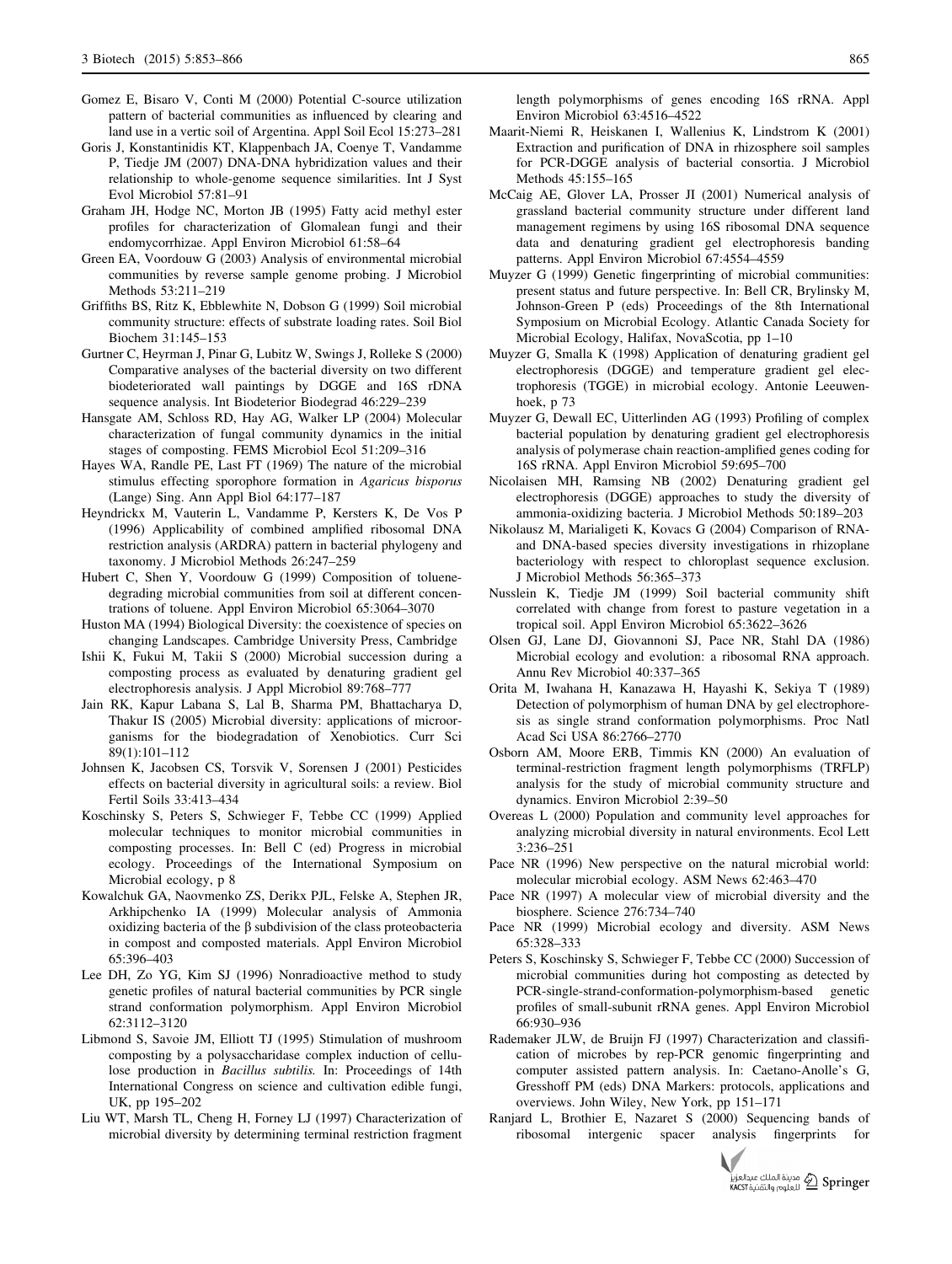- <span id="page-12-0"></span>Gomez E, Bisaro V, Conti M (2000) Potential C-source utilization pattern of bacterial communities as influenced by clearing and land use in a vertic soil of Argentina. Appl Soil Ecol 15:273–281
- Goris J, Konstantinidis KT, Klappenbach JA, Coenye T, Vandamme P, Tiedje JM (2007) DNA-DNA hybridization values and their relationship to whole-genome sequence similarities. Int J Syst Evol Microbiol 57:81–91
- Graham JH, Hodge NC, Morton JB (1995) Fatty acid methyl ester profiles for characterization of Glomalean fungi and their endomycorrhizae. Appl Environ Microbiol 61:58–64
- Green EA, Voordouw G (2003) Analysis of environmental microbial communities by reverse sample genome probing. J Microbiol Methods 53:211–219
- Griffiths BS, Ritz K, Ebblewhite N, Dobson G (1999) Soil microbial community structure: effects of substrate loading rates. Soil Biol Biochem 31:145–153
- Gurtner C, Heyrman J, Pinar G, Lubitz W, Swings J, Rolleke S (2000) Comparative analyses of the bacterial diversity on two different biodeteriorated wall paintings by DGGE and 16S rDNA sequence analysis. Int Biodeterior Biodegrad 46:229–239
- Hansgate AM, Schloss RD, Hay AG, Walker LP (2004) Molecular characterization of fungal community dynamics in the initial stages of composting. FEMS Microbiol Ecol 51:209–316
- Hayes WA, Randle PE, Last FT (1969) The nature of the microbial stimulus effecting sporophore formation in Agaricus bisporus (Lange) Sing. Ann Appl Biol 64:177–187
- Heyndrickx M, Vauterin L, Vandamme P, Kersters K, De Vos P (1996) Applicability of combined amplified ribosomal DNA restriction analysis (ARDRA) pattern in bacterial phylogeny and taxonomy. J Microbiol Methods 26:247–259
- Hubert C, Shen Y, Voordouw G (1999) Composition of toluenedegrading microbial communities from soil at different concentrations of toluene. Appl Environ Microbiol 65:3064–3070
- Huston MA (1994) Biological Diversity: the coexistence of species on changing Landscapes. Cambridge University Press, Cambridge
- Ishii K, Fukui M, Takii S (2000) Microbial succession during a composting process as evaluated by denaturing gradient gel electrophoresis analysis. J Appl Microbiol 89:768–777
- Jain RK, Kapur Labana S, Lal B, Sharma PM, Bhattacharya D, Thakur IS (2005) Microbial diversity: applications of microorganisms for the biodegradation of Xenobiotics. Curr Sci 89(1):101–112
- Johnsen K, Jacobsen CS, Torsvik V, Sorensen J (2001) Pesticides effects on bacterial diversity in agricultural soils: a review. Biol Fertil Soils 33:413–434
- Koschinsky S, Peters S, Schwieger F, Tebbe CC (1999) Applied molecular techniques to monitor microbial communities in composting processes. In: Bell C (ed) Progress in microbial ecology. Proceedings of the International Symposium on Microbial ecology, p 8
- Kowalchuk GA, Naovmenko ZS, Derikx PJL, Felske A, Stephen JR, Arkhipchenko IA (1999) Molecular analysis of Ammonia oxidizing bacteria of the  $\beta$  subdivision of the class proteobacteria in compost and composted materials. Appl Environ Microbiol 65:396–403
- Lee DH, Zo YG, Kim SJ (1996) Nonradioactive method to study genetic profiles of natural bacterial communities by PCR single strand conformation polymorphism. Appl Environ Microbiol 62:3112–3120
- Libmond S, Savoie JM, Elliott TJ (1995) Stimulation of mushroom composting by a polysaccharidase complex induction of cellulose production in Bacillus subtilis. In: Proceedings of 14th International Congress on science and cultivation edible fungi, UK, pp 195–202
- Liu WT, Marsh TL, Cheng H, Forney LJ (1997) Characterization of microbial diversity by determining terminal restriction fragment

length polymorphisms of genes encoding 16S rRNA. Appl Environ Microbiol 63:4516–4522

- Maarit-Niemi R, Heiskanen I, Wallenius K, Lindstrom K (2001) Extraction and purification of DNA in rhizosphere soil samples for PCR-DGGE analysis of bacterial consortia. J Microbiol Methods 45:155–165
- McCaig AE, Glover LA, Prosser JI (2001) Numerical analysis of grassland bacterial community structure under different land management regimens by using 16S ribosomal DNA sequence data and denaturing gradient gel electrophoresis banding patterns. Appl Environ Microbiol 67:4554–4559
- Muyzer G (1999) Genetic fingerprinting of microbial communities: present status and future perspective. In: Bell CR, Brylinsky M, Johnson-Green P (eds) Proceedings of the 8th International Symposium on Microbial Ecology. Atlantic Canada Society for Microbial Ecology, Halifax, NovaScotia, pp 1–10
- Muyzer G, Smalla K (1998) Application of denaturing gradient gel electrophoresis (DGGE) and temperature gradient gel electrophoresis (TGGE) in microbial ecology. Antonie Leeuwenhoek, p 73
- Muyzer G, Dewall EC, Uitterlinden AG (1993) Profiling of complex bacterial population by denaturing gradient gel electrophoresis analysis of polymerase chain reaction-amplified genes coding for 16S rRNA. Appl Environ Microbiol 59:695–700
- Nicolaisen MH, Ramsing NB (2002) Denaturing gradient gel electrophoresis (DGGE) approaches to study the diversity of ammonia-oxidizing bacteria. J Microbiol Methods 50:189–203
- Nikolausz M, Marialigeti K, Kovacs G (2004) Comparison of RNAand DNA-based species diversity investigations in rhizoplane bacteriology with respect to chloroplast sequence exclusion. J Microbiol Methods 56:365–373
- Nusslein K, Tiedje JM (1999) Soil bacterial community shift correlated with change from forest to pasture vegetation in a tropical soil. Appl Environ Microbiol 65:3622–3626
- Olsen GJ, Lane DJ, Giovannoni SJ, Pace NR, Stahl DA (1986) Microbial ecology and evolution: a ribosomal RNA approach. Annu Rev Microbiol 40:337–365
- Orita M, Iwahana H, Kanazawa H, Hayashi K, Sekiya T (1989) Detection of polymorphism of human DNA by gel electrophoresis as single strand conformation polymorphisms. Proc Natl Acad Sci USA 86:2766–2770
- Osborn AM, Moore ERB, Timmis KN (2000) An evaluation of terminal-restriction fragment length polymorphisms (TRFLP) analysis for the study of microbial community structure and dynamics. Environ Microbiol 2:39–50
- Overeas L (2000) Population and community level approaches for analyzing microbial diversity in natural environments. Ecol Lett 3:236–251
- Pace NR (1996) New perspective on the natural microbial world: molecular microbial ecology. ASM News 62:463–470
- Pace NR (1997) A molecular view of microbial diversity and the biosphere. Science 276:734–740
- Pace NR (1999) Microbial ecology and diversity. ASM News 65:328–333
- Peters S, Koschinsky S, Schwieger F, Tebbe CC (2000) Succession of microbial communities during hot composting as detected by PCR-single-strand-conformation-polymorphism-based genetic profiles of small-subunit rRNA genes. Appl Environ Microbiol 66:930–936
- Rademaker JLW, de Bruijn FJ (1997) Characterization and classification of microbes by rep-PCR genomic fingerprinting and computer assisted pattern analysis. In: Caetano-Anolle's G, Gresshoff PM (eds) DNA Markers: protocols, applications and overviews. John Wiley, New York, pp 151–171
- Ranjard L, Brothier E, Nazaret S (2000) Sequencing bands of ribosomal intergenic spacer analysis fingerprints for